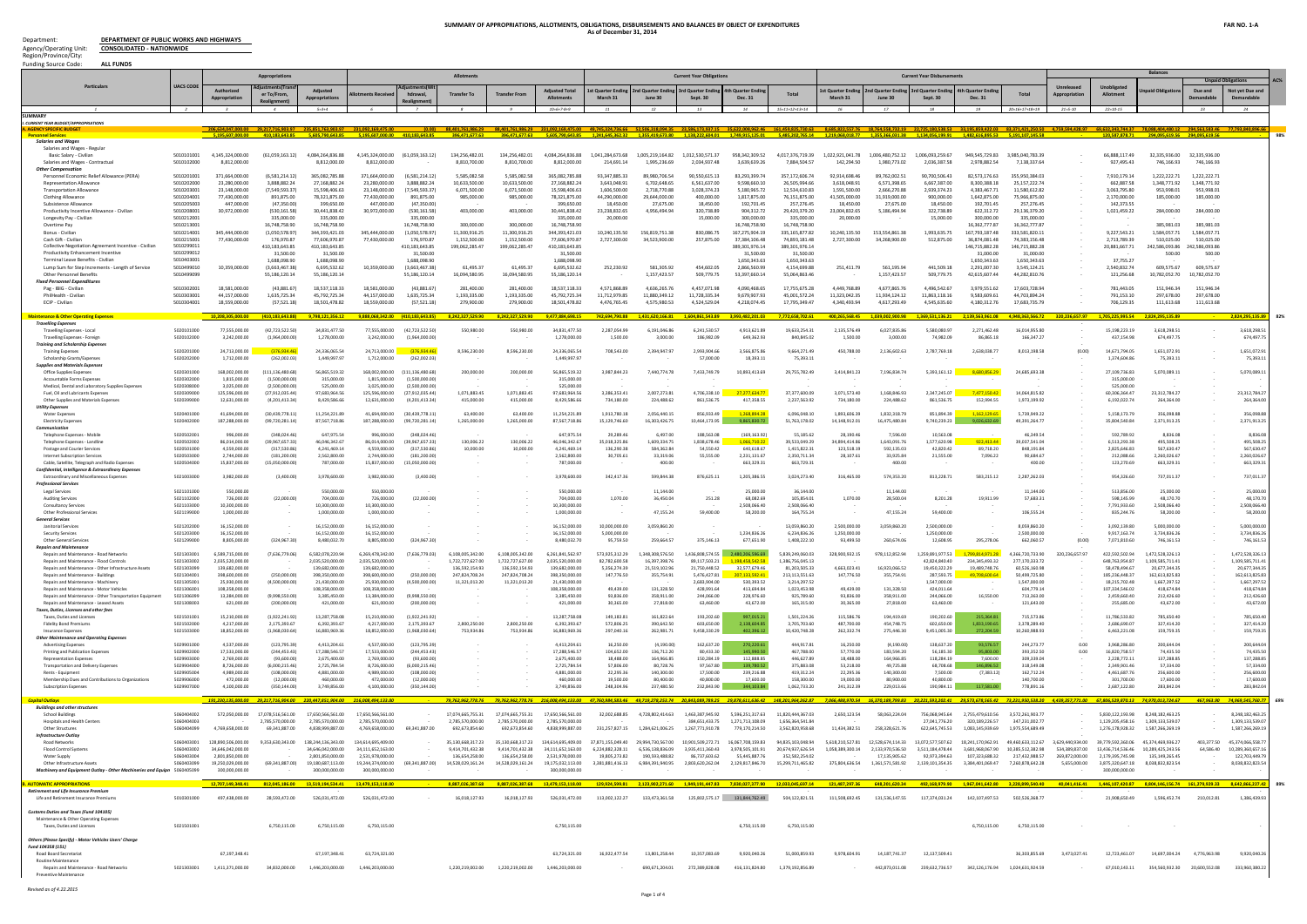**DEPARTMENT OF PUBLIC WORKS AND HIGHWAYS CONSOLIDATED - NATIONWIDE**

| <b>Funding Source Code</b><br><b>ALL FUNDS</b>                                                      |                          |                                       |                                       |                                       |                                                                                                                                                                                                          |                                   |                                                                                                                                                                                                                                                  |                                       |                                                                                                                                 |                                   |                                    |                                                      |                                                                                     |                                       |                                                                                                                                                                                                           |                                   |                                                    |                                                    |                                                  |                                  |                                                                                                                                               | <b>Balances</b>                                                  |                             |                                      |
|-----------------------------------------------------------------------------------------------------|--------------------------|---------------------------------------|---------------------------------------|---------------------------------------|----------------------------------------------------------------------------------------------------------------------------------------------------------------------------------------------------------|-----------------------------------|--------------------------------------------------------------------------------------------------------------------------------------------------------------------------------------------------------------------------------------------------|---------------------------------------|---------------------------------------------------------------------------------------------------------------------------------|-----------------------------------|------------------------------------|------------------------------------------------------|-------------------------------------------------------------------------------------|---------------------------------------|-----------------------------------------------------------------------------------------------------------------------------------------------------------------------------------------------------------|-----------------------------------|----------------------------------------------------|----------------------------------------------------|--------------------------------------------------|----------------------------------|-----------------------------------------------------------------------------------------------------------------------------------------------|------------------------------------------------------------------|-----------------------------|--------------------------------------|
| <b>Particulars</b>                                                                                  | <b>UACS CODI</b>         |                                       | Appropriation                         |                                       |                                                                                                                                                                                                          |                                   | <b>Allotments</b>                                                                                                                                                                                                                                |                                       |                                                                                                                                 |                                   |                                    | <b>Current Year Obligations</b>                      |                                                                                     |                                       |                                                                                                                                                                                                           |                                   | <b>Current Year Disbursements</b>                  |                                                    |                                                  |                                  |                                                                                                                                               |                                                                  |                             |                                      |
|                                                                                                     |                          | Authorizec<br><b>Appropriatio</b>     | er To/From.                           | <b>Appropriations</b>                 | nents Receiv                                                                                                                                                                                             | hdrawal                           | Transfer To                                                                                                                                                                                                                                      | Transfer                              | <b>Adiusted Total</b><br><b>Allotments</b>                                                                                      | t Quarter En<br>March 31          | d Quarter End<br>June 30           | rd Quarter End<br>Sept. 30                           | h Quarter Endi<br><b>Dec. 31</b>                                                    |                                       | t Quarter End<br>March 31                                                                                                                                                                                 | nd Quarter Er<br>June 30          | d Quarter Endir<br>Sept. 3                         | th Quarter End<br>Dec. 31                          | Tota                                             | Unrelease                        | Unobligated<br>Allotment                                                                                                                      |                                                                  | Due and                     | <b>Not yet Due and</b><br>Demandable |
|                                                                                                     | $\overline{z}$           | $\overline{z}$                        | $\overline{a}$                        | $5 = 3 + 4$                           | - 6                                                                                                                                                                                                      | $\overline{z}$                    | $\overline{g}$                                                                                                                                                                                                                                   | $\alpha$                              | $10=6+7-8+9$                                                                                                                    | 11                                | 12                                 | 13                                                   | 14                                                                                  | $15=11+12+13+14$                      | <sup>16</sup>                                                                                                                                                                                             | <b>17</b>                         | 18                                                 | 19                                                 | 20=16+17+18+19                                   | $21 = 5 - 10$                    | $22 = 10 - 15$                                                                                                                                |                                                                  | 23                          | 24                                   |
| <b>SUMMAR</b><br><b>CURRENT YEAR BUDGET/APPROPRIATION</b>                                           |                          |                                       |                                       |                                       |                                                                                                                                                                                                          |                                   |                                                                                                                                                                                                                                                  |                                       |                                                                                                                                 |                                   |                                    |                                                      |                                                                                     |                                       |                                                                                                                                                                                                           |                                   |                                                    |                                                    |                                                  |                                  |                                                                                                                                               |                                                                  |                             |                                      |
| <b>A. AGENCY SPECIFIC BUDGET</b><br><b>Personnel Services</b>                                       |                          |                                       |                                       | 410,183,643.85 5,605,790,643.85       | 206,634,047,000.00 29,217,716,903.97 235,851,763,903.97 231,092,169,475.00<br>5,195,607,000.00 410,183,643.85                                                                                            |                                   | [0.00] 88,401,761,986.29 88,401,761,986.29 83,001,761,986.29 231,092,169,475.00 49,745,324,736.66 52,506,313,094.35 23,586,173,937.15 35,622,008,962.46 161,459,825,730.63 8,685,822,557.76 18,764,558,732.19 22,725,180,538.5<br>396,471,677.63 |                                       |                                                                                                                                 |                                   |                                    |                                                      |                                                                                     |                                       | 396,471,677.63 5,605,790,643.85 1,241,645,362.32 1,355,419,673.80 1,138,222,604.01 1,749,915,125.01 5,485,202,765.14 1,219,068,018.77 1,355,366,031.38 1,134,056,199.91 1,482,616,895.53 5,191,107,145.58 |                                   |                                                    |                                                    |                                                  |                                  | 120,587,878.71                                                                                                                                | 294,095,619.56 294,095,619.56                                    |                             | 98%                                  |
| <b>Salaries and Wages</b><br>Salaries and Wages - Regula                                            |                          |                                       |                                       |                                       |                                                                                                                                                                                                          |                                   |                                                                                                                                                                                                                                                  |                                       |                                                                                                                                 |                                   |                                    |                                                      |                                                                                     |                                       |                                                                                                                                                                                                           |                                   |                                                    |                                                    |                                                  |                                  |                                                                                                                                               |                                                                  |                             |                                      |
| Basic Salary - Civilian                                                                             | 5010101001               | 4.145.324.000.00                      | (61.059.163.12)                       | 4.084.264.836.88                      | 4,145,324,000.00                                                                                                                                                                                         | (61.059.163.12)                   | 134,256,482.01                                                                                                                                                                                                                                   | 134,256,482.01                        | 4.084.264.836.88                                                                                                                | 1.041.284.673.68                  | 1.005.219.164.82                   | 1,012,530,571.37                                     | 958,342,309.52                                                                      | 4,017,376,719.39                      | 1.022,921,041.78                                                                                                                                                                                          | 1,006,480,752.12                  | 1,006,093,259.67                                   | 949,545,729.83                                     | 3,985,040,783.39                                 |                                  | 66,888,117.49                                                                                                                                 | 32,335,936.00                                                    | 32.335.936.00               |                                      |
| Salaries and Wages - Contractua<br>Other Compensatior                                               | 5010102000               | 8.812.000.00                          |                                       | 8.812.000.00                          | 8.812.000.00                                                                                                                                                                                             |                                   | 8.810.700.00                                                                                                                                                                                                                                     | 8.810.700.00                          | 8.812.000.00                                                                                                                    | 214.691.14                        | 1.995.236.69                       | 2.034.937.48                                         | 3.639.639.26                                                                        | 7.884.504.57                          | 142,294.50                                                                                                                                                                                                | 1.980.773.02                      | 2.036.387.58                                       | 2.978.882.54                                       | 7.138.337.64                                     |                                  | 927,495.43                                                                                                                                    | 746.166.93                                                       | 746.166.93                  |                                      |
| Personnel Economic Relief Allowance (PERA                                                           | 5010201001               | 371.664.000.0                         | (6,581,214.12)                        | 365.082.785.88                        | 371.664.000.00                                                                                                                                                                                           | (6.581.214.12)                    | 5.585.082.58                                                                                                                                                                                                                                     | 5.585.082.58                          | 365.082.785.88                                                                                                                  | 3.347.885.33                      | 89.980.706.54                      | 90.550.615.13                                        | 83.293.399.74                                                                       | 357.172.606.74                        | 92.914.698.4                                                                                                                                                                                              | 89.762.002.51                     | 90.700.506.43                                      | 82.573.176.63                                      | 355.950.384.03                                   |                                  | 7.910.179.14                                                                                                                                  | 1.222.222.71                                                     | 1.222.222.71                |                                      |
| <b>Representation Allowance</b><br><b>Transportation Allowance</b>                                  | 5010202000<br>501020300  | 23,280,000.00<br>23.148.000.0         | 3,888,882.24<br>(7,549,593.37)        | 27,168,882.24<br>15.598.406.63        | 23.280.000.00<br>23.148.000.00                                                                                                                                                                           | 3.888.882.24<br>(7.549.593.37     | 10,633,500.00<br>6.071.500.00                                                                                                                                                                                                                    | 10,633,500.00<br>6,071,500.00         | 27,168,882.24<br>15.598.406.63                                                                                                  | 3,643,048.91<br>1.606.500.00      | 6,702,648.65<br>2,718,770.88       | 6,561,637.00<br>3.028.374.23                         | 9,598,660.10<br>5.180.965.72                                                        | 26,505,994.66<br>12.534.610.83        | 3,618,048.91<br>1.591.500.0                                                                                                                                                                               | 6,571,398.65<br>2.666.270.88      | 6,667,387.00<br>2.939.374.23                       | 8.300.388.1<br>4.383.467.7                         | 25, 157, 222.74<br>11.580.612.82                 |                                  | 662,887.58<br>3.063.795.8                                                                                                                     | 1,348,771.92<br>953.998.01                                       | 1,348,771.92<br>953.998.01  |                                      |
| <b>Clothing Allowance</b><br>Subsistence Allowance                                                  | 5010204001<br>501020500  | 77,430,000.00<br>447.000.0            | 891,875.00<br>(47.350.00)             | 78,321,875.00<br>399,650.00           | 77,430,000.00<br>447,000.00                                                                                                                                                                              | 891,875.00<br>(47.350.00          | 985,000.00                                                                                                                                                                                                                                       | 985,000.00                            | 78,321,875.00<br>399,650.00                                                                                                     | 44,290,000.00<br>18,450,00        | 29,644,000.00<br>27.675.00         | 400,000.00<br>18,450.00                              | 1,817,875.00<br>192.701.45                                                          | 76,151,875.00<br>257.276.45           | 41,505,000.00<br>18,450.0                                                                                                                                                                                 | 31,919,000.00<br>27.675.00        | 900,000.00<br>18,450.00                            | 1,642,875.00<br>192,701.4                          | 75,966,875.00<br>257,276.45                      |                                  | 2,170,000.00<br>142.373.55                                                                                                                    | 185,000.00                                                       | 185,000.00                  |                                      |
| Productivity Incentive Allowance - Civilian                                                         | 5010208001               | 30,972,000.00                         | (530, 161.58)                         | 30,441,838.42                         | 30,972,000.00                                                                                                                                                                                            | (530, 161.58)                     | 403,000.00                                                                                                                                                                                                                                       | 403,000.00                            | 30,441,838.42                                                                                                                   | 23,238,832.65                     | 4.956.494.94                       | 320,738.89                                           | 904,312.72                                                                          | 29,420,379.20                         | 23,004,832.65                                                                                                                                                                                             | 5,186,494.94                      | 322,738.89                                         | 622,312.72                                         | 29,136,379.20                                    |                                  | 1,021,459.22                                                                                                                                  | 284,000.00                                                       | 284,000.00                  |                                      |
| Longevity Pay - Civilian<br>Overtime Pay                                                            | 5010212001<br>5010213001 |                                       | 335,000.00<br>16.748.758.90           | 335,000.00<br>16,748,758.90           |                                                                                                                                                                                                          | 335,000.00<br>16.748.758.90       | 300,000,00                                                                                                                                                                                                                                       | 300,000,00                            | 335,000.00<br>16,748,758.90                                                                                                     | 20,000,00                         |                                    | 15,000.00                                            | 300,000,00<br>16.748.758.90                                                         | 335,000.00<br>16,748,758.90           | 20,000,00                                                                                                                                                                                                 |                                   | 15,000.00                                          | 300,000.00<br>16.362.777.87                        | 335,000.00<br>16.362.777.87                      |                                  |                                                                                                                                               | 385,981.03                                                       | 385.981.03                  |                                      |
| Bonus - Civiliar<br>Cash Gift - Civilian                                                            | 5010214001<br>5010215001 | 345.444.000.00<br>77,430,000.00       | (1.050.578.97)<br>176,970.87          | 344.393.421.03<br>77,606,970.87       | 345.444.000.00<br>77,430,000.00                                                                                                                                                                          | (1,050,578.97<br>176.970.87       | 11.300.916.25<br>1.152.500.00                                                                                                                                                                                                                    | 11,300,916.25<br>1,152,500.00         | 344.393.421.03<br>77,606,970.87                                                                                                 | 10.240.135.50<br>2.727.300.00     | 156.819.751.38<br>34.523.900.00    | 830,086.75<br>257,875.00                             | 167.275.904.19<br>37.384.106.48                                                     | 335.165.877.82<br>74.893.181.48       | 10.240.135.50<br>2.727.300.00                                                                                                                                                                             | 153.554.861.38<br>34.268.900.00   | 1.993.635.75<br>512,875.00                         | 167.793.187<br>36.874.081.4                        | 333.581.820.11<br>74.383.156.48                  | $\sim$                           | 9,227,543.21<br>2,713,789.39                                                                                                                  | 1.584.057.71<br>510.025.00                                       | 1.584.057.71<br>510.025.00  |                                      |
| Collective Negotiation Agreement Incentive - Civilian                                               | 5010299011               |                                       | 410,183,643.85                        | 410.183.643.8                         |                                                                                                                                                                                                          | 410.183.643.85                    | 199,062,285.47                                                                                                                                                                                                                                   | 199,062,285.47                        | 410,183,643.85                                                                                                                  |                                   |                                    |                                                      | 389.301.976.14                                                                      | 389,301,976.14                        |                                                                                                                                                                                                           |                                   |                                                    | 146.715.882.28                                     | 146.715.882.28                                   | $\sim$                           | 20.881.667.71                                                                                                                                 | 242.586.093.86                                                   | 242.586.093.8               |                                      |
| Productivity Enhancement Incentive<br>Terminal Leave Benefits - Civilian                            | 5010299012<br>5010403001 |                                       | 31,500.00<br>1,688,098.90             | 31,500.00<br>1,688,098.90             |                                                                                                                                                                                                          | 31,500.00<br>1,688,098.90         |                                                                                                                                                                                                                                                  |                                       | 31,500.00<br>1,688,098.90                                                                                                       |                                   |                                    |                                                      | 31,500.00<br>1.650.343.63                                                           | 31,500.00<br>1.650.343.63             |                                                                                                                                                                                                           |                                   |                                                    | 31,000.00<br>1.650.343.63                          | 31,000.00<br>1.650.343.63                        |                                  | 37.755.27                                                                                                                                     | 500.00                                                           | 500.00                      |                                      |
| Lump Sum for Step Increments - Length of Service<br><b>Other Personnel Benefits</b>                 | 5010499010<br>5010499099 | 10.359.000.00                         | (3.663.467.38)<br>55,186,120.14       | 6,695,532.62<br>55,186,120.14         | 10.359.000.00                                                                                                                                                                                            | (3.663.467.38)<br>55,186,120.14   | 61,495.37<br>16,094,580.95                                                                                                                                                                                                                       | 61.495.37<br>16,094,580.95            | 6,695,532.62<br>55,186,120.14                                                                                                   | 252,230.92                        | 581.305.92<br>1,157,423.57         | 454,602.05<br>509,779.75                             | 2.866.560.99<br>53,397,660.14                                                       | 4.154.699.88<br>55,064,863.46         | 251,411.79                                                                                                                                                                                                | 561.195.94<br>1,157,423.57        | 441.509.18<br>509,779.75                           | 2.291.007.30<br>42,615,607.44                      | 3,545,124.21<br>44,282,810.76                    | $\sim$                           | 2.540.832.74<br>121.256.68                                                                                                                    | 609.575.67<br>10,782,052.70                                      | 609.575.67<br>10,782,052.70 |                                      |
| Fixed Personnel Expenditures                                                                        |                          |                                       |                                       |                                       |                                                                                                                                                                                                          |                                   |                                                                                                                                                                                                                                                  |                                       |                                                                                                                                 |                                   |                                    |                                                      |                                                                                     |                                       |                                                                                                                                                                                                           |                                   |                                                    |                                                    |                                                  |                                  |                                                                                                                                               |                                                                  |                             |                                      |
| Pag - IBIG - Civilian<br>PhilHealth - Civilian                                                      | 5010302001<br>5010303001 | 18.581.000.0<br>44.157.000.0          | (43,881.67)<br>1.635.725.34           | 18,537,118.33<br>45.792.725.34        | 18.581.000.0<br>44.157.000.00                                                                                                                                                                            | (43,881.6)<br>1.635.725.34        | 281,400.00<br>1,193,335.00                                                                                                                                                                                                                       | 281,400.00<br>1.193.335.00            | 18,537,118.33<br>45.792.725.34                                                                                                  | 4.571.868.89<br>11.712.979.85     | 4.636.265.7<br>11.880.349.12       | 4.457.071.98<br>11.728.335.34                        | 4.090.468.6<br>9.679.907.93                                                         | 17,755,675.28<br>45.001.572.24        | 4.449.768.8<br>11.323.042.3                                                                                                                                                                               | 4.677.865.76<br>11.934.124.12     | 4,496,542.67<br>11.863.118.16                      | 3.979.551.6<br>9.583.609.6                         | 17.603.728.94<br>44.703.894.24                   |                                  | 781.443.05<br>791.153.10                                                                                                                      | 151.946.34<br>297.678.00                                         | 151.946.34<br>297.678.00    |                                      |
| ECIP - Civilian                                                                                     | 5010304001               | 18,559,000.00                         | (57, 521.18)                          | 18,501,478.82                         | 18.559.000.00                                                                                                                                                                                            | (57, 521.18)                      | 279,900.00                                                                                                                                                                                                                                       | 279,900.00                            | 18.501.478.82                                                                                                                   | 4.476.765.45                      | 4.575.980.53                       | 4,524,529.04                                         | 4.218.074.45                                                                        | 17,795,349.47                         | 4.340.493.94                                                                                                                                                                                              | 4.617.293.49                      | 4.545.635.60                                       | 4.180.312.76                                       | 17,683,735.79                                    |                                  | 706.129.35                                                                                                                                    | 111,613.68                                                       | 111.613.68                  |                                      |
| <b>Maintenance &amp; Other Operating Expenses</b>                                                   |                          | 10,208,305,000.00                     | (410, 183, 643.88)                    | 9,798,121,356.12                      |                                                                                                                                                                                                          | 9,888,068,342.00 (410,183,643.85) | 8,242,327,529.90                                                                                                                                                                                                                                 | 8,242,327,529.90                      | 9,477,884,698.15                                                                                                                | 742,694,790.88                    |                                    | 1,431,620,166.81  1,604,861,543.89  3,993,482,201.03 |                                                                                     | 7,772,658,702.61                      |                                                                                                                                                                                                           | 400,265,568.45 1,039,002,900.98   | 1,369,531,136.21                                   |                                                    | 2,139,563,961.08 4,948,363,566.72 320,236,657.97 |                                  | 1.705.225.995.54 2.824.295.135.89                                                                                                             |                                                                  |                             | 82%<br>2.824.295.135.89              |
| <b>Travelling Expenses</b><br><b>Travelling Expenses - Loca</b>                                     | 5020101000               | 77.555.000.00                         | (42.723.522.50)                       | 34.831.477.50                         | 77.555.000.00                                                                                                                                                                                            | (42.723.522.50                    | 550.980.00                                                                                                                                                                                                                                       | 550.980.00                            | 34.831.477.50                                                                                                                   | 2.287.054.99                      | 6.191.046.86                       | 6.241.530.57                                         | 4.913.621.8                                                                         | 19.633.254.31                         | 2.135.576.49                                                                                                                                                                                              | 6.027.835.86                      | 5.580.080.97                                       | 2.271.462.4                                        | 16.014.955.80                                    |                                  | 15.198.223.1                                                                                                                                  | 3.618.298.51                                                     |                             | 3,618,298.5                          |
| Travelling Expenses - Foreign<br><b>Training and Scholarship Expenses</b>                           | 5020102000               | 3,242,000.00                          | (1,964,000.00)                        | 1,278,000.00                          | 3.242.000.00                                                                                                                                                                                             | (1.964.000.00                     |                                                                                                                                                                                                                                                  |                                       | 1,278,000.00                                                                                                                    | 1,500.00                          | 3,000.00                           | 186,982.09                                           | 649,362.93                                                                          | 840,845.02                            | 1,500.00                                                                                                                                                                                                  | 3,000.00                          | 74,982.09                                          | 86,865.1                                           | 166,347.27                                       |                                  | 437,154.9                                                                                                                                     | 674,497.75                                                       |                             | 674,497.7                            |
| <b>Training Expenses</b>                                                                            | 5020201000               | 24.713.000.00                         | (376, 934.46)                         | 24,336,065.54                         | 24.713.000.00                                                                                                                                                                                            | (376.934.46                       | 8,596,230.00                                                                                                                                                                                                                                     | 8.596.230.00                          | 24.336.065.54                                                                                                                   | 708.543.00                        | 2.394.947.97                       | 2.993.904.66                                         | 3.566.875.86                                                                        | 9.664.271.49                          | 450,788.00                                                                                                                                                                                                | 2.136.602.63                      | 2.787.769.18                                       | 2.638.038.77                                       | 8.013.198.58                                     | (0.00)                           | 14.671.794.05                                                                                                                                 | 1,651,072.91                                                     | $\sim$                      | 1.651.072.9                          |
| Scholarship Grants/Expense<br>upplies and Materials Expense                                         | 5020202000               | 1,712,000.00                          | (262,002.03)                          | 1.449.997.97                          | 1,712,000.00                                                                                                                                                                                             | (262.002.03                       |                                                                                                                                                                                                                                                  |                                       | 1.449.997.97                                                                                                                    |                                   |                                    | 57.000.00                                            | 18,393.1                                                                            | 75,393.11                             |                                                                                                                                                                                                           |                                   |                                                    |                                                    |                                                  |                                  | 1.374.604.8                                                                                                                                   | 75,393.11                                                        |                             | 75,393.1                             |
| Office Supplies Expenses<br>Accountable Forms Expenses                                              | 5020301000<br>5020302000 | 168,002,000.00<br>1,815,000.00        | (111, 136, 480.68)<br>(1,500,000.00)  | 56,865,519.32<br>315,000.00           | 168.002.000.00<br>1,815,000.00                                                                                                                                                                           | 111.136.480.68<br>(1.500.000.00   | 200.000.00                                                                                                                                                                                                                                       | 200,000.00                            | 56,865,519.32<br>315,000.00                                                                                                     | 3.987.844.23                      | 7.440.774.78                       | 7.433.749.79                                         | 10,893,413.69                                                                       | 29,755,782.49                         | 3,414,841.23                                                                                                                                                                                              | 7,196,834.74                      | 5.393.161.12                                       | 8.680.856.2                                        | 24.685.693.38                                    |                                  | 27.109.736.83<br>315,000.00                                                                                                                   | 5,070,089.11                                                     |                             | 5,070,089.1                          |
| Medical, Dental and Laboratory Supplies Expense                                                     | 5020308000               | 3.025.000.00                          | (2.500.000.00)                        | 525.000.00                            | 3.025.000.00                                                                                                                                                                                             | (2.500.000.00                     |                                                                                                                                                                                                                                                  |                                       | 525,000.00                                                                                                                      |                                   |                                    |                                                      |                                                                                     |                                       |                                                                                                                                                                                                           |                                   |                                                    |                                                    |                                                  |                                  | 525,000.0                                                                                                                                     |                                                                  |                             |                                      |
| Fuel, Oil and Lubricants Expense<br>Other Supplies and Materials Expenses                           | 5020309000<br>5020399000 | 125,596,000.00<br>12,631,000.00       | (27, 912, 035.44)<br>(4,201,413.34)   | 97,683,964.56<br>8,429,586.66         | 125.596.000.00<br>12.631.000.00                                                                                                                                                                          | (27,912,035.44<br>(4.201.413.34   | 1,071,883.45<br>415,000.00                                                                                                                                                                                                                       | 1,071,883.45<br>415,000.00            | 97,683,964.56<br>8,429,586.66                                                                                                   | 3,386,353.41<br>734,180.00        | 2,007,273.81<br>224,488.62         | 4,706,338.10<br>861.536.75                           | 272776347<br>417.358.55                                                             | 37,377,600.09<br>2,237,563.92         | 3,071,573.40<br>734,180.00                                                                                                                                                                                | 1,168,846.93<br>224,488.62        | 2,347,245.07<br>861.536.75                         | 7.477150<br>152,994.55                             | 14.064.815.82<br>1,973,199.92                    |                                  | 60.306.364.4<br>6,192,022.74                                                                                                                  | 23,312,784.27<br>264,364.00                                      |                             | 23,312,784.2<br>264,364.0            |
| Utility Expenses                                                                                    |                          |                                       |                                       |                                       |                                                                                                                                                                                                          |                                   |                                                                                                                                                                                                                                                  |                                       |                                                                                                                                 |                                   |                                    |                                                      | 1.268.894.2                                                                         |                                       |                                                                                                                                                                                                           |                                   |                                                    |                                                    |                                                  |                                  |                                                                                                                                               |                                                                  |                             |                                      |
| <b>Water Expenses</b><br><b>Electricity Expense</b>                                                 | 5020401000<br>5020402000 | 41.694.000.00<br>187,288,000.00       | (30.439.778.11)<br>(99,720,281.14)    | 11,254,221.89<br>87,567,718.86        | 41.694.000.00<br>187,288,000.00                                                                                                                                                                          | (30.439.778.11<br>(99,720,281.14  | 63,400.00<br>1,265,000.00                                                                                                                                                                                                                        | 63.400.00<br>1,265,000.00             | 11,254,221.89<br>87,567,718.86                                                                                                  | 1.913.780.18<br>15,129,746.60     | 2.056.440.15<br>16,303,426.75      | 856,933.49<br>10,464,173.95                          | 9,865,830.72                                                                        | 6.096.048.10<br>51,763,178.02         | 1.893.606.39<br>14,148,912.01                                                                                                                                                                             | 1.832.318.79<br>16,475,480.84     | 851.894.39<br>9,740,239.23                         | 1.162.129<br>9.026.632.6                           | 5.739.949.22<br>49,391,264.77                    | $\sim$                           | 5,158,173.7<br>35,804,540.8                                                                                                                   | 356.098.88<br>2,371,913.25                                       |                             | 356,098.8<br>2,371,913.25            |
| Communication<br>Telephone Expenses - Mobile                                                        | 5020502001               | 996,000.00                            | (348, 024.46)                         | 647,975.54                            | 996,000.00                                                                                                                                                                                               | (348.024.46                       |                                                                                                                                                                                                                                                  |                                       | 647,975.54                                                                                                                      | 29,289.46                         | 6.497.00                           | 188,563.08                                           | (169.163.92                                                                         | 55.185.62                             | 28,190.46                                                                                                                                                                                                 | 7,596.00                          | 10,563.08                                          |                                                    | 46,349.54                                        |                                  | 592,789.92                                                                                                                                    | 8,836.08                                                         |                             | 8,836.08                             |
| Telephone Expenses - Landlin                                                                        | 5020502002               | 86.014.000.00                         | (39.967.657.33)                       | 46.046.342.67                         | 86.014.000.00                                                                                                                                                                                            | (39.967.657.33                    | 130.006.22                                                                                                                                                                                                                                       | 130,006.22                            | 46.046.342.67                                                                                                                   | 35.018.325.86                     | 1.609.334.75                       | 1.838.678.46                                         | 1.066.710.21                                                                        | 39.533.049.29                         | 34.894.414.8                                                                                                                                                                                              | 1.643.091.76                      | 1.577.620.98                                       | 922.413.4                                          | 39.037.541.04                                    |                                  | 6.513.293.38                                                                                                                                  | 495,508.25                                                       |                             | 495,508.2                            |
| Postage and Courier Services<br>Internet Subscription Services                                      | 5020501000<br>5020503000 | 4.559.000.00<br>2.744.000.00          | (317,530.86)<br>(181.200.00)          | 4,241,469.14<br>2,562,800.00          | 4.559.000.0<br>2.744.000.00                                                                                                                                                                              | (317,530.86<br>(181.200.00        | 10,000.00                                                                                                                                                                                                                                        | 10,000.00                             | 4.241.469.14<br>2.562.800.00                                                                                                    | 136,290.38<br>30,705.61           | 584,362.84<br>33,319.06            | 54,550.42<br>55,555.00                               | 640,618.67<br>2.231.131.67                                                          | 1,415,822.31<br>2.350.711.34          | 123,518.19<br>28,107.61                                                                                                                                                                                   | 592,135.03<br>33,925.84           | 42,820.42<br>21,555.00                             | 89,718.20<br>7.096.22                              | 848,191.84<br>90.684.67                          |                                  | 2.825.646.83<br>212.088.6                                                                                                                     | 567,630.47<br>2.260.026.67                                       |                             | 567,630.4<br>2.260.026.6             |
| Cable, Satellite, Telegraph and Radio Expenses                                                      | 5020504000               | 15.837.000.00                         | (15.050.000.00)                       | 787,000.00                            | 15.837.000.00                                                                                                                                                                                            | (15.050.000.00                    |                                                                                                                                                                                                                                                  |                                       | 787,000.00                                                                                                                      |                                   | 400.00                             |                                                      | 663.329.31                                                                          | 663,729.31                            |                                                                                                                                                                                                           | 400.00                            |                                                    |                                                    | 400.00                                           |                                  | 123,270.69                                                                                                                                    | 663.329.31                                                       |                             | 663,329.3                            |
| Confidential, Intelligence & Extraordinary Expense<br>Extraordinary and Miscellaneous Expenses      | 5021003000               | 3.982.000.00                          | (3.400.00)                            | 3.978.600.00                          | 3.982.000.00                                                                                                                                                                                             | (3.400.00)                        |                                                                                                                                                                                                                                                  |                                       | 3,978,600.00                                                                                                                    | 342.417.36                        | 599.844.38                         | 876,625.11                                           | 1.205.386.55                                                                        | 3,024,273.40                          | 316,465.00                                                                                                                                                                                                | 574.353.20                        | 813.228.71                                         | 583,215.12                                         | 2.287.262.03                                     | $\sim$                           | 954,326.6                                                                                                                                     | 737.011.37                                                       |                             | 737,011.3                            |
| Professional Servicí<br><b>Legal Services</b>                                                       | 5021101000               | 550,000.00                            |                                       | 550.000.00                            | 550,000.00                                                                                                                                                                                               |                                   |                                                                                                                                                                                                                                                  |                                       | 550,000.00                                                                                                                      |                                   | 11.144.00                          |                                                      | 25,000.00                                                                           | 36.144.00                             |                                                                                                                                                                                                           | 11.144.00                         |                                                    |                                                    | 11.144.00                                        |                                  | 513.856.00                                                                                                                                    | 25,000.00                                                        |                             | 25,000.00                            |
| <b>Auditing Services</b>                                                                            | 5021102000               | 726,000.00                            | (22,000.00)                           | 704,000.00                            | 726,000.00                                                                                                                                                                                               | (22,000.00)                       |                                                                                                                                                                                                                                                  |                                       | 704,000.00                                                                                                                      | 1,070.00                          | 36,450.04                          | 251.28                                               | 68,082.69                                                                           | 105,854.01                            | 1,070.00                                                                                                                                                                                                  | 28,500.04                         | 8,201.28                                           | 19,911.99                                          | 57,683.31                                        |                                  | 598,145.99                                                                                                                                    | 48,170.70                                                        |                             | 48,170.7                             |
| <b>Consultancy Services</b><br>Other Professional Services                                          | 5021103000<br>5021199000 | 10.300,000.00<br>1,000,000.00         |                                       | 10.300,000.00<br>1,000,000.00         | 10.300.000.00<br>1,000,000.00                                                                                                                                                                            |                                   |                                                                                                                                                                                                                                                  |                                       | 10.300.000.00<br>1,000,000.00                                                                                                   |                                   | 47,155.24                          | 59,400.00                                            | 2.508.066.40<br>58,200.00                                                           | 2.508.066.40<br>164,755.24            |                                                                                                                                                                                                           | 47,155.24                         | 59,400.00                                          |                                                    | 106,555.24                                       |                                  | 7.791.933.6<br>835,244.76                                                                                                                     | 2.508.066.40<br>58,200.00                                        |                             | 2.508.066.4<br>58,200.00             |
| <b>General Services</b><br>Janitorial Services                                                      | 5021202000               | 16.152.000.00                         |                                       | 16.152.000.00                         | 16.152.000.00                                                                                                                                                                                            |                                   |                                                                                                                                                                                                                                                  |                                       | 16.152.000.00                                                                                                                   | 10.000.000.00                     | 3.059.860.20                       |                                                      |                                                                                     | 13.059.860.20                         | 2.500.000.00                                                                                                                                                                                              | 3.059.860.20                      | 2,500,000.00                                       |                                                    | 8.059.860.20                                     |                                  | 3.092.139.8                                                                                                                                   | 5.000.000.00                                                     |                             | 5.000.000.0                          |
| <b>Security Services</b>                                                                            | 502120300                | 16.152.000.00                         |                                       | 16,152,000.00                         | 16.152.000.00                                                                                                                                                                                            |                                   |                                                                                                                                                                                                                                                  |                                       | 16,152,000.00                                                                                                                   | 5.000.000.00                      |                                    |                                                      | 1.234.836.2                                                                         | 6.234.836.26                          | 1.250.000.00                                                                                                                                                                                              |                                   | 1.250.000.00                                       |                                                    | 2.500.000.00                                     |                                  | 9.917.163.7                                                                                                                                   | 3,734,836.26                                                     |                             | 3,734,836.26                         |
| <b>Other General Services</b><br><b>Repairs and Maintenance</b>                                     | 5021299000               | 8,805,000.00                          | (324, 967.30)                         | 8,480,032.70                          | 8,805,000.00                                                                                                                                                                                             | (324, 967.30)                     |                                                                                                                                                                                                                                                  |                                       | 8,480,032.70                                                                                                                    | 95,759.50                         | 259,664.57                         | 375,146.13                                           | 677,651.90                                                                          | 1,408,222.10                          | 93,499.50                                                                                                                                                                                                 | 260,674.06                        | 12,608.95                                          | 295,278.06                                         | 662,060.57                                       | (0.00)                           | 7,071,810.60                                                                                                                                  | 746,161.53                                                       |                             | 746,161.53                           |
| <b>Road Networks</b><br>pairs and Maintenance.<br>Repairs and Maintenance - Flood Controls          | 5021303001<br>5021303002 | 6.589.715.000.00<br>2.035.520.000.00  |                                       | 2.035.520.000.00                      | (7.636.779.06) 6.582.078.220.94 6.269.478.342.00 (7.636.779.03) 6.108.005.342.00 6.008.005.342.00 6.261.841.562.97 573.925.312.29 1.348.308.576.50 1.436.808.574.55 2.480.206.596.69<br>2.035.520.000.00 |                                   | 1,722,727,627.00                                                                                                                                                                                                                                 | 1.722.727.627.00                      | 2.035.520.000.00                                                                                                                | 82.782.600.58                     | 16.397.398.76                      | 89.117.503.21                                        | 1.198.458.542.5                                                                     | 5.839.249.060.03<br>1.386.756.045.13  | 328.900.932.15                                                                                                                                                                                            |                                   | 978.112.852.94   1.259.891.977.53<br>42.824.840.40 | 1.799.814.971.28<br>234.345.493.32                 | 277,170,333.72                                   | 4.366.720.733.90 320.236.657.97  | 422.592.502.94<br>648.763.954.87                                                                                                              | 1.472.528.326.13<br>1,109,585,711.41                             |                             | 1.472.528.326.13<br>1.109.585.711.4  |
| Repairs and Maintenance - Other Infrastructure Assets                                               | 5021303099               | 139,682,000.00                        |                                       | 139,682,000.00                        | 139,682,000.00                                                                                                                                                                                           |                                   | 136,592,154.93                                                                                                                                                                                                                                   | 136,592,154.9                         | 139,682,000.00                                                                                                                  | 5,356,274.39                      | 21,519,102.96                      | 21,750,448.52                                        | 32,577,679.46                                                                       | 81,203,505.33                         | 4,663,023.41                                                                                                                                                                                              | 16,923,066.52                     | 19,450,322.29                                      | 19,489,748.76                                      | 60,526,160.98                                    |                                  | 58,478,494.67                                                                                                                                 | 20,677,344.35                                                    |                             | 20,677,344.3                         |
| Repairs and Maintenance - Buildings<br>Repairs and Maintenance - Machinery                          | 5021304001<br>5021305001 | 398,600,000.00<br>25.930.000.00       | (250.000.00)<br>(4,500,000.00)        | 398,350,000.00<br>21.430.000.00       | 398.600.000.00<br>25.930.000.00                                                                                                                                                                          | (250,000,00)<br>(4.500,000,00)    | 247,824,708.24<br>11,321,013.20                                                                                                                                                                                                                  | 247.824.708.24<br>11,321,013.20       | 398,350,000.00<br>21.430.000.00                                                                                                 | 147,776.50                        | 355,754.91                         | 5,476,427.81<br>2.683.904.00                         | 530.393.52                                                                          | 213,113,551.63<br>3,214,297.52        | 147,776.50                                                                                                                                                                                                | 355,754.91                        | 287,593.75<br>1.547.000.00                         | 49.708.600.6                                       | 50,499,725.80<br>1,547,000.00                    | $\sim$<br>$\sim$                 | 185,236,448.37<br>18.215.702.48                                                                                                               | 162,613,825.83<br>1,667,297.52                                   | $\sim$                      | 162,613,825.8<br>1.667.297.5         |
| Repairs and Maintenance - Motor Vehicles                                                            | 5021306001               | 108,358,000.00                        |                                       | 108,358,000.00                        | 108,358,000.00                                                                                                                                                                                           |                                   |                                                                                                                                                                                                                                                  |                                       | 108,358,000.00                                                                                                                  | 49.439.00                         | 131,328.50                         | 428,991.64                                           | 413,694.84                                                                          | 1,023,453.98                          | 49.439.00                                                                                                                                                                                                 | 131,328.50                        | 424,011.64                                         |                                                    | 604,779.14                                       | $\sim$                           | 107,334,546.02                                                                                                                                | 418,674.84                                                       | $\sim$                      | 418,674.8                            |
| Repairs and Maintenance - Other Transportation Equipment<br>Repairs and Maintenance - Leased Assets | 5021306099<br>5021308003 | 13,384,000.00<br>621,000.00           | (9,998,550.00)<br>(200,000.00)        | 3,385,450.00<br>421,000.00            | 13,384,000.00<br>621,000.00                                                                                                                                                                              | (9,998,550.00)<br>(200.000.00)    |                                                                                                                                                                                                                                                  |                                       | 3,385,450.00<br>421,000.00                                                                                                      | 93,836.00<br>30,365.00            | 358,911.00<br>27,818.00            | 244,066.00<br>63,460.00                              | 228,976.60<br>43,672.00                                                             | 925,789.60<br>165,315.00              | 93,836.00<br>30,365.00                                                                                                                                                                                    | 358,911.00<br>27,818.00           | 244,066.00<br>63,460.00                            | 16,550.00                                          | 713,363.00<br>121,643.00                         | $\sim$<br>$\sim$                 | 2,459,660.40<br>255,685.00                                                                                                                    | 212,426.60<br>43,672.00                                          |                             | 212,426.60<br>43,672.00              |
| Taxes, Duties, Licenses and other fee:<br>Taxes, Duties and Licenses                                | 5021501001               | 15,210,000.00                         | (1,922,241.92)                        | 13,287,758.08                         | 15,210,000.00                                                                                                                                                                                            | (1,922,241.92)                    |                                                                                                                                                                                                                                                  |                                       | 13,287,758.08                                                                                                                   | 149,183.81                        | 161,822.64                         | 193,202.60                                           | 997.015.2                                                                           | 1,501,224.26                          | 115,586.76                                                                                                                                                                                                | 194,419.69                        | 190,202.60                                         | 215.364.8                                          | 715,573.86                                       |                                  | 11,786,533.82                                                                                                                                 | 785.650.40                                                       |                             | 785,650.40                           |
| <b>Fidelity Bond Premiums</b>                                                                       | 5021502000               | 4,217,000.00                          | 2,175,393.67                          | 6,392,393.67                          | 4,217,000.00                                                                                                                                                                                             | 2,175,393.67                      | 2,800,250.00                                                                                                                                                                                                                                     | 2,800,250.00                          | 6,392,393.67                                                                                                                    | 572,806.25                        | 390,642.50                         | 603,650.00                                           | 2,138,604.85                                                                        | 3,705,703.60                          | 487,700.00                                                                                                                                                                                                | 454,748.75                        | 602,650.00                                         | 1,833,190.6                                        | 3,378,289.40                                     |                                  | 2,686,690.07                                                                                                                                  | 327,414.20                                                       |                             | 327,414.2                            |
| Insurance Expenses<br><b>Other Maintenance and Operating Expenses</b>                               | 5021503000               | 18,852,000.00                         | (1,968,030.64)                        | 16,883,969.36                         | 18,852,000.00                                                                                                                                                                                            | (1,968,030.64)                    | 753,934.86                                                                                                                                                                                                                                       | 753,934.86                            | 16,883,969.36                                                                                                                   | 297,040.16                        | 262,981.71                         | 9,458,330.29                                         | 402,396.12                                                                          | 10,420,748.28                         | 262,332.74                                                                                                                                                                                                | 275,446.30                        | 9,451,005.30                                       | 272,204.5                                          | 10,260,988.93                                    | $\sim$                           | 6,463,221.08                                                                                                                                  | 159,759.35                                                       |                             | 159,759.35                           |
| <b>Advertising Expenses</b><br>Printing and Publication Expenses                                    | 5029901000<br>5029902000 | 4.537.000.00<br>17,533,000.00         | (123, 795.39)<br>(244, 453.43)        | 4,413,204.61<br>17,288,546.57         | 4.537.000.00<br>17,533,000.00                                                                                                                                                                            | (123.795.39)<br>(244, 453.43)     |                                                                                                                                                                                                                                                  |                                       | 4,413,204.61<br>17,288,546.57                                                                                                   | 16,250.00<br>104,652.00           | (4, 190.00)<br>136,712.20          | 162.637.20<br>80,433.30                              | 270.220.61<br>145,990.50                                                            | 444.917.81<br>467,788.00              | 16,250.00<br>57,770.00                                                                                                                                                                                    | (4, 190.00)<br>183,594.20         | 138,637.20<br>56,185.30                            | 93.576.5<br>95,803.0                               | 244,273,77<br>393,352.50                         | 0.00<br>0.00                     | 3,968,286.80<br>16,820,758.57                                                                                                                 | 200.644.04<br>74,435.50                                          |                             | 200.644.0<br>74,435.50               |
| <b>Representation Expenses</b>                                                                      | 5029903000               | 2.769.000.00                          | (93,600.00)                           | 2,675,400.00                          | 2.769.000.00                                                                                                                                                                                             | (93,600,00                        |                                                                                                                                                                                                                                                  |                                       | 2,675,400.00                                                                                                                    | 18,488.00                         | 164,966.85                         | 150,284.19                                           | 112,888.85                                                                          | 446,627.89                            | 18,488.00                                                                                                                                                                                                 | 164,966.85                        | 118,284.19                                         | 7,600.00                                           | 309.339.04                                       |                                  | 2,228,772.11                                                                                                                                  | 137,288.85                                                       | $\sim$                      | 137,288.85                           |
| Transportation and Delivery Expenses<br>Rents - Equipment                                           | 5029904000<br>5029905004 | 8.726.000.00<br>4,989,000.00          | (6.000.215.46)<br>(108,000.00)        | 2.725.784.54<br>4,881,000.00          | 8,726,000.00<br>4.989.000.00                                                                                                                                                                             | (6.000.215.46)<br>(108,000,00)    |                                                                                                                                                                                                                                                  |                                       | 2.725.784.54<br>4,881,000.00                                                                                                    | 57,806.00<br>22.295.36            | 80,728.76<br>140,300.00            | 97,567.80<br>17,500.00                               | 139,780.52<br>239,216.88                                                            | 375,883.08<br>419,312.24              | 53,218.00<br>22,295.36                                                                                                                                                                                    | 49.725.88<br>140,300.00           | 68,708.68<br>7,500.00                              | 146.896.52<br>(7, 383.12)                          | 318,549.08<br>162,712.24                         |                                  | 2.349.901.46<br>4.461.687.76                                                                                                                  | 57,334.00<br>256,600.00                                          | $\sim$                      | 57,334.00<br>256,600.0               |
| Membership Dues and Contributions to Organizations<br><b>Subscription Expenses</b>                  | 5029906000<br>5029907000 | 472,000.00<br>4,100,000.00            | (12,000.00)<br>(350, 144.00)          | 460,000.00<br>3,749,856.00            | 472,000.00<br>4,100,000.00                                                                                                                                                                               | (12,000.00)<br>(350, 144.00)      |                                                                                                                                                                                                                                                  |                                       | 460,000.00<br>3,749,856.00                                                                                                      | 19,500.00<br>248,304.96           | 80,400.00<br>237,480.50            | 40,800.00<br>232,843.90                              | 17,600.00<br>344,103.84                                                             | 158,300.00<br>1,062,733.20            | 19,000.00<br>241,312.39                                                                                                                                                                                   | 80,900.00<br>229,013.66           | 40,800.00<br>190,984.11                            | 117,581.0                                          | 140,700.00<br>778,891.16                         |                                  | 301,700.00<br>2.687.122.8                                                                                                                     | 17,600.00<br>283,842.04                                          |                             | 17,600.00<br>283,842.0               |
| Capital Outlavs                                                                                     |                          | 191.230.135.000.00                    |                                       | 29,217,716,904.00 220,447,851,904.00  | 216.008.494.133.00                                                                                                                                                                                       |                                   | 79,762,962,778.76                                                                                                                                                                                                                                |                                       | 79,762,962,778.76 216,008,494,133.00 47,760,984,583.46 49,719,278,253.74 20,843,089,789.25 29,878,611,636.42 148,201,964,262.87 |                                   |                                    |                                                      |                                                                                     |                                       |                                                                                                                                                                                                           |                                   |                                                    |                                                    |                                                  |                                  | 7,066,488,970.54 16,370,189,799.83 20,221,593,202.41 29,573,678,565.42 73,231,950,538.20 4,439,357,771.00 67,806,529,870.13 74,970,013,724.67 |                                                                  |                             | 467,963.90 74,969,545,760.77<br>69%  |
| <b>Buildings and other structure:</b>                                                               |                          |                                       |                                       |                                       |                                                                                                                                                                                                          |                                   |                                                                                                                                                                                                                                                  |                                       |                                                                                                                                 |                                   |                                    |                                                      |                                                                                     |                                       |                                                                                                                                                                                                           |                                   |                                                    |                                                    |                                                  |                                  |                                                                                                                                               |                                                                  |                             |                                      |
| <b>School Buildings</b><br><b>Hospitals and Health Centers</b>                                      | 5060404002<br>5060404003 | 572,050,000.00                        | 17,078,516,561.00<br>2,785,570,000.00 | 17,650,566,561.00<br>2.785.570.000.00 | 17,650,566,561.00<br>2.785.570.000.00                                                                                                                                                                    |                                   | 17,074,665,755.31<br>2,785,570,000.00                                                                                                                                                                                                            | 17,074,665,755.31<br>2.785.570.000.00 | 17,650,566,561.00<br>2.785.570.000.00                                                                                           | 32,002,688.85                     | 4,728,802,414.63                   | 1,463,387,945.92<br>384.651.433.75                   | 5,596,251,317.63<br>1,271,713,108.09                                                | 11,820,444,367.03<br>1.656.364.541.84 | 2,650,123.54                                                                                                                                                                                              | 58,063,224.04                     | 756,068,945.64<br>27.041.776.20                    | 2,755,479,610.56<br>320.189.226.57                 | 3,572,261,903.77<br>347,231,002.77               | $\sim$                           | 5,830,122,193.98<br>1,129,205,458.16                                                                                                          | 8,248,182,463.25<br>1.309.133.539.07                             | <b>State Street</b>         | 8,248,182,463.2<br>1,309,133,539.07  |
| Other Structures                                                                                    | 5060404099               | 4.769.658.000.00                      | 69.341.887.00                         | 4,838,999,887.00                      | 4,769,658,000.00                                                                                                                                                                                         | 69,341,887.00                     | 692,673,854.60                                                                                                                                                                                                                                   | 692,673,854.60                        | 4,838,999,887.00                                                                                                                | 231,257,827.15                    | 1.284.621.006.25                   | 1,267,771,910.78                                     | 779.170.214.50                                                                      | 3,562,820,958.68                      | 11,434,382.51                                                                                                                                                                                             | 258,328,621.76                    | 622.645.745.53                                     | 1.083.145.939.69                                   | 1.975.554.689.49                                 | $\sim$                           | 1.276.178.928.32                                                                                                                              | 1,587,266,269.19                                                 | <b>Service</b>              | 1,587,266,269.19                     |
| Infrastructure Outlay<br>Road Networks                                                              | 5060403001               | 128,890,506,000.00                    | 9,353,630,343.00                      | 138,244,136,343.00                    | 134.614.695.409.00                                                                                                                                                                                       |                                   | 35,130,668,317.23                                                                                                                                                                                                                                | 35,130,668,317.23                     | 134,614,695,409.00                                                                                                              | 37,871,155,049.40                 | 29,994,730,567.00                  | 10,901,509,272.71                                    | 16,067,708,159.83                                                                   | 94,835,103,048.94                     | 5,618,210,527.81                                                                                                                                                                                          | 12,528,674,114.33                 | 13,072,577,507.62                                  | 18,241,170,962.91                                  | 49,460,633,112.67                                | 3,629,440,934.00                 | 39,779,592,360.06                                                                                                                             | 45,374,469,936.27                                                | 403,377.50                  | 45,374,066,558.7                     |
| <b>Flood Control Systems</b><br>Water Supply                                                        | 5060403002<br>5060403004 | 34,646,042,000.00<br>2.801.850.000.00 |                                       | 34.646.042.000.00<br>2.801.850.000.00 | 34.111.652.163.00<br>2.531.978.000.00                                                                                                                                                                    |                                   | 9,414,701,432.38<br>136.654.258.00                                                                                                                                                                                                               | 9.414.701.432.38<br>136.654.258.00    | 34.111.652.163.00<br>2.531.978.000.00                                                                                           | 6.224.882.328.11<br>19.805.273.82 | 6.536.138.836.09<br>190.593.488.82 | 3.935.411.360.43<br>86.737.603.62                    | 3.978.505.101.91<br>55.445.887.76                                                   | 20.674.937.626.54<br>352.582.254.02   | 1,058,389,300.14                                                                                                                                                                                          | 2.133.970.536.50<br>17.135.905.62 | 3.511.184.478.44<br>92.973.394.63                  | 3.681.968.067.90<br>107.323.688.32                 | 10.385.512.382.98<br>217.432.988.57              | 534.389.837.00<br>269.872.000.00 | 13.436.714.536.46<br>2.179.395.745.98                                                                                                         | 10.289.425.243.56<br>135.149.265.45                              | 64,586.40                   | 10.289.360.657.<br>122.703.449.7     |
| Other Infrastructure Assets                                                                         | 5060403099               | 19,250,029,000.00                     | (69,341,887.00)                       | 19,180,687,113.00                     | 19,244,374,000.00                                                                                                                                                                                        | (69, 341, 887.00)                 | 14,528,029,161.24                                                                                                                                                                                                                                | 14,528,029,161.24                     | 19,175,032,113.00                                                                                                               | 3,381,881,416.13                  | 6,984,391,940.95                   | 2,803,620,262.04                                     | 2,129,817,846.70                                                                    | 15,299,711,465.82                     | 375,804,636.54                                                                                                                                                                                            | 1,361,571,581.92                  | 2,139,101,354.35                                   | 3,384,401,069.47                                   | 7,260,878,642.28                                 | 5,655,000.00                     | 3,875,320,647.18                                                                                                                              | 8,038,832,823.54                                                 |                             | 8,038,832,823.54                     |
| Machinery and Equipment Outlay - Other Machineries and Equipn 5060405099                            |                          | 300,000,000.00                        |                                       | 300,000,000.00                        | 300,000,000.00                                                                                                                                                                                           |                                   |                                                                                                                                                                                                                                                  |                                       | 300,000,000.00                                                                                                                  |                                   |                                    |                                                      |                                                                                     |                                       |                                                                                                                                                                                                           |                                   |                                                    |                                                    |                                                  |                                  | 300,000,000.00                                                                                                                                |                                                                  |                             |                                      |
| <b>AUTOMATIC APPROPRIATIONS</b><br>Retirement and Life Insurance Premium                            |                          | 12,707,149,348.41                     | 812,045,186.00                        | 13,519,194,534.41                     | 13,479,153,118.00                                                                                                                                                                                        |                                   | 8,887,026,387.68                                                                                                                                                                                                                                 |                                       | 8,887,026,387.68 13,479,153,118.00                                                                                              |                                   |                                    |                                                      | 129,924,599.81 2,123,902,271.60 1,949,191,447.83 7,830,027,377.90 12,033,045,697.14 |                                       | 121,487,297.36                                                                                                                                                                                            | 648,201,620.34                    |                                                    | 492,168,979.90  1,967,041,642.80  3,228,899,540.40 |                                                  | 40,041,416.41                    |                                                                                                                                               | 1,446,107,420.87 8,804,146,156.74 161,279,929.33 8,642,866,227.4 |                             | 89%                                  |
| Life and Retirement Insurance Premiums                                                              | 5010301000               | 497,438,000.00                        | 28,593,472.00                         | 526,031,472.00                        | 526,031,472.00                                                                                                                                                                                           |                                   | 16,018,127.93                                                                                                                                                                                                                                    | 16,018,127.93                         | 526,031,472.00                                                                                                                  | 113,002,122.27                    | 133,473,361.58                     | 125,802,575.17                                       | 131,844,762.49                                                                      | 504,122,821.51                        | 111,508,692.45                                                                                                                                                                                            | 131,536,147.55                    | 117,374,031.24                                     | 142,107,497.53                                     | 502,526,368.77                                   |                                  | 21,908,650.49                                                                                                                                 | 1,596,452.74                                                     | 210,012.81                  | 1,386,439.93                         |
| <b>Customs Duties and Taxes (Fund 104105)</b>                                                       |                          |                                       |                                       |                                       |                                                                                                                                                                                                          |                                   |                                                                                                                                                                                                                                                  |                                       |                                                                                                                                 |                                   |                                    |                                                      |                                                                                     |                                       |                                                                                                                                                                                                           |                                   |                                                    |                                                    |                                                  |                                  |                                                                                                                                               |                                                                  |                             |                                      |
| Maintenance & Other Operating Expenses<br>Taxes, Duties and Licenses                                | 5021501001               |                                       | 6,750,115.00                          | 6,750,115.00                          | 6,750,115.00                                                                                                                                                                                             |                                   |                                                                                                                                                                                                                                                  |                                       | 6,750,115.00                                                                                                                    |                                   |                                    |                                                      | 6,750,115.00                                                                        | 6,750,115.00                          |                                                                                                                                                                                                           |                                   |                                                    | 6,750,115.00                                       | 6,750,115.00                                     |                                  |                                                                                                                                               |                                                                  |                             |                                      |
|                                                                                                     |                          |                                       |                                       |                                       |                                                                                                                                                                                                          |                                   |                                                                                                                                                                                                                                                  |                                       |                                                                                                                                 |                                   |                                    |                                                      |                                                                                     |                                       |                                                                                                                                                                                                           |                                   |                                                    |                                                    |                                                  |                                  |                                                                                                                                               |                                                                  |                             |                                      |
| Others (Please Specify) - Motor Vehicles Users' Charge<br>Fund 104358 (151)                         |                          |                                       |                                       |                                       |                                                                                                                                                                                                          |                                   |                                                                                                                                                                                                                                                  |                                       |                                                                                                                                 |                                   |                                    |                                                      |                                                                                     |                                       |                                                                                                                                                                                                           |                                   |                                                    |                                                    |                                                  |                                  |                                                                                                                                               |                                                                  |                             |                                      |
| Road Board Secretariat<br>Routine Maintenance                                                       |                          | 67,197,348.41                         |                                       | 67,197,348.41                         | 63,724,321.00                                                                                                                                                                                            |                                   |                                                                                                                                                                                                                                                  |                                       | 63,724,321.00                                                                                                                   | 16,922,477.54                     | 13,801,258.44                      | 10,357,083.69                                        | 9,920,040.26                                                                        | 51,000,859.93                         | 9,978,604.91                                                                                                                                                                                              | 14, 187, 741. 37                  | 12,137,509.41                                      |                                                    | 36,303,855.69                                    | 3,473,027.41                     | 12,723,461.07                                                                                                                                 | 14,697,004.24                                                    | 4,776,963.98                | 9,920,040.26                         |
| Repairs and Maintenance - Road Networks                                                             | 5021303001               | 1,411,371,000.00                      | 34.832.000.00                         | 1,446,203,000.00                      | 1,446,203,000.00                                                                                                                                                                                         |                                   | 1,220,219,002.00                                                                                                                                                                                                                                 | 1,220,219,002.00                      | 1,446,203,000.00                                                                                                                |                                   | 690.671.204.01                     | 272.389.828.08                                       | 416.131.824.80                                                                      | 1,379,192,856.89                      |                                                                                                                                                                                                           | 442,873,011.08                    | 239.632.736.57                                     | 342,126,176.94                                     | 1,024,631,924.59                                 |                                  | 67.010.143.11                                                                                                                                 | 354,560,932.30 20,600,552.08                                     |                             | 333,960,380.22                       |
| <b>Preventive Maintenance</b>                                                                       |                          |                                       |                                       |                                       |                                                                                                                                                                                                          |                                   |                                                                                                                                                                                                                                                  |                                       |                                                                                                                                 |                                   |                                    |                                                      |                                                                                     |                                       |                                                                                                                                                                                                           |                                   |                                                    |                                                    |                                                  |                                  |                                                                                                                                               |                                                                  |                             |                                      |

## **SUMMARY OF APPROPRIATIONS, ALLOTMENTS, OBLIGATIONS, DISBURSEMENTS AND BALANCES BY OBJECT OF EXPENDITURES As of December 31, 2014**

Department: Agency/Operating Unit: Region/Province/City: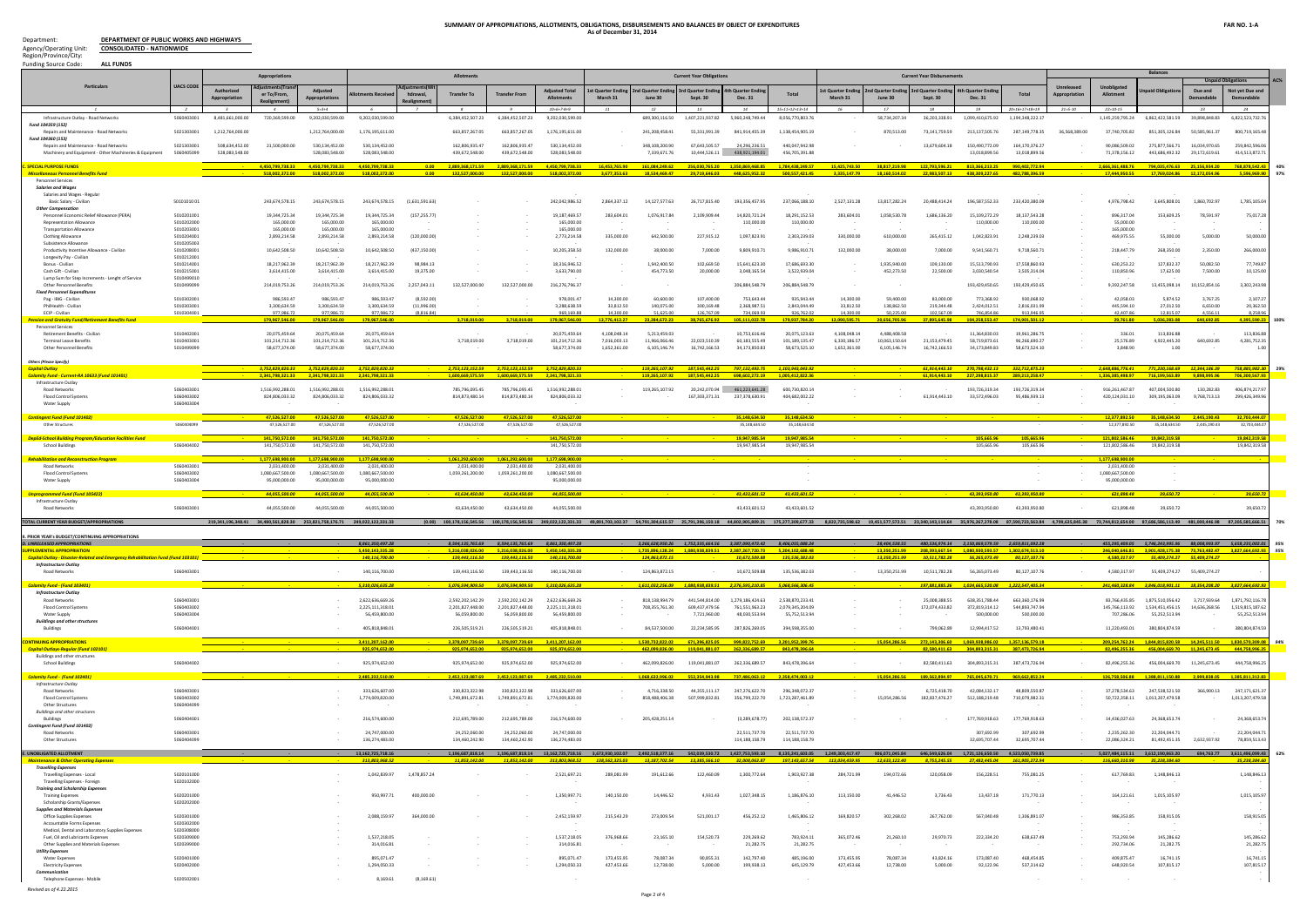**DEPARTMENT OF PUBLIC WORKS AND HIGHWAYS CONSOLIDATED - NATIONWIDE**

### **SUMMARY OF APPROPRIATIONS, ALLOTMENTS, OBLIGATIONS, DISBURSEMENTS AND BALANCES BY OBJECT OF EXPENDITURES As of December 31, 2014**

Department: Agency/Operating Unit: Region/Province/City:

| <b>Funding Source Code:</b><br><b>ALL FUNDS</b>                                                   |                          |                  |                                                                            |                                    |                                    |                           |                                                    |                                    |                                                    |                              |                                |                                 |                                                                     |                                    |                                                                                                                                                                                                                                                                                                             |                               |                                   |                                                                |                                 |               |                                   | <b>Balances</b>                                                  |                            |                                   |              |
|---------------------------------------------------------------------------------------------------|--------------------------|------------------|----------------------------------------------------------------------------|------------------------------------|------------------------------------|---------------------------|----------------------------------------------------|------------------------------------|----------------------------------------------------|------------------------------|--------------------------------|---------------------------------|---------------------------------------------------------------------|------------------------------------|-------------------------------------------------------------------------------------------------------------------------------------------------------------------------------------------------------------------------------------------------------------------------------------------------------------|-------------------------------|-----------------------------------|----------------------------------------------------------------|---------------------------------|---------------|-----------------------------------|------------------------------------------------------------------|----------------------------|-----------------------------------|--------------|
|                                                                                                   |                          |                  | Appropriations                                                             |                                    |                                    |                           | <b>Allotment</b>                                   |                                    |                                                    |                              |                                | <b>Current Year Obligations</b> |                                                                     |                                    |                                                                                                                                                                                                                                                                                                             |                               | <b>Current Year Disbursements</b> |                                                                |                                 |               |                                   |                                                                  |                            |                                   | $\Delta C\%$ |
| <b>Particulars</b>                                                                                | <b>UACS CODE</b>         | Authorized       | er To/From                                                                 | Adiusted                           | ments Rec                          | hdrawal                   | <b>Transfer To</b>                                 | <b>Transfer I</b>                  | <b>Adjusted Total</b>                              | t Quarter Ending             | nd Quarter End                 | 3rd Quarter Endin               | <b>4th Quarter Endi</b>                                             | <b>Tota</b>                        | st Quarter Endir                                                                                                                                                                                                                                                                                            | nd Quarter Endir              | rd Quarter Endir                  | th Quarter Endir                                               | <b>Total</b>                    | Unreleased    | Unobligated<br>Allotment          | paid Obligatio                                                   | Due and                    | Not vet Due and                   |              |
|                                                                                                   |                          |                  |                                                                            | <b>Appropriations</b>              |                                    | Realignme                 |                                                    |                                    | <b>Allotments</b>                                  | March 31                     | June 30                        | Sept. 30                        | Dec. 31                                                             |                                    | March 31                                                                                                                                                                                                                                                                                                    | June 30                       | Sept. 30                          | <b>Dec. 31</b>                                                 |                                 |               |                                   |                                                                  | lemand:                    | Demandable                        |              |
|                                                                                                   |                          |                  |                                                                            | $5 = 3 + 4$                        |                                    | $\overline{z}$            |                                                    |                                    | $10=6+7-8+9$                                       |                              |                                |                                 |                                                                     | $15=11+12+13+14$                   | 16                                                                                                                                                                                                                                                                                                          |                               |                                   |                                                                | $0 - 16 + 17 + 18 + 10$         | $21 = 5 - 10$ | $22 = 10 - 15$                    |                                                                  |                            | 24                                |              |
| Infrastructure Outlay - Road Networks<br>Fund 104359 (152)                                        | 5060403001               | 8,481,661,000.00 | 720,369,599.00                                                             | 9,202,030,599.00                   | 9,202,030,599.00                   |                           | 6,384,452,507.23                                   | 6,384,452,507.23                   | 9,202,030,599.00                                   |                              | 689,300,116.50                 | 1,407,221,937.82                | 5,960,248,749.44                                                    | 8,056,770,803.76                   |                                                                                                                                                                                                                                                                                                             | 58,734,207.34                 | 36,203,338.91                     | 1,099,410,675.92                                               | 1,194,348,222.1                 |               | 1,145,259,795.24                  | 6,862,422,581.59                                                 | 39,898,848.83              | 6,822,523,732.                    |              |
| Repairs and Maintenance - Road Networks                                                           | 5021303001               | 1,212,764,000.00 |                                                                            | 1,212,764,000.00                   | 1,176,195,611.00                   |                           | 663,857,267.05                                     | 663,857,267.05                     | 1,176,195,611.00                                   | 14                           | 241,208,458.41                 | 55,331,991.39                   | 841,914,455.39                                                      | 1,138,454,905.19                   |                                                                                                                                                                                                                                                                                                             | 870,513.00                    | 73,141,759.59                     | 213,137,505.76                                                 | 287.149.778.35                  | 36,568,389.00 | 37.740.705.82                     | 851,305,126.84                                                   | 50.585.961.37              | 800,719,165.48                    |              |
| Fund 104360 (153)<br>Repairs and Maintenance - Road Networks                                      | 5021303001               | 508,634,452.00   | 21,500,000,00                                                              | 530,134,452.00                     | 530.134.452.00                     |                           | 162,806,935.47                                     | 162.806.935.47                     | 530,134,452.00                                     |                              | 348.108.200.90                 | 67.643.505.57                   | 24.296.236.5                                                        | 440.047.942.98                     |                                                                                                                                                                                                                                                                                                             |                               | 13,679,604.18                     | 150.490.772.09                                                 | 164,170,376.27                  |               | 90.086.509.02                     | 275.877.566.71                                                   | 16.034.970.65              | 259,842,596.0                     |              |
| Machinery and Equipment - Other Machineries & Equipment                                           | 5060405099               | 528,083,548.00   |                                                                            | 528,083,548.00                     | 528,083,548.00                     |                           | 439,672,548.00                                     | 439,672,548.00                     | 528.083.548.00                                     |                              | 7,339,671.76                   | 10,444,526.11                   | 438.921.194.01                                                      | 456.705.391.88                     |                                                                                                                                                                                                                                                                                                             |                               |                                   | 13.018.899.56                                                  | 13,018,899.56                   |               | 71,378,156.12                     | 443,686,492.32                                                   | 29,172,619.61              | 414,513,872.7                     |              |
| <b>SPECIAL PURPOSE FUNDS</b>                                                                      |                          |                  | 4.450.799.738.33                                                           | 4.450.799.738.33                   | 4.450.799.738.33                   |                           | 0.00 2,889,368,171.59                              | 2.889.368.171.59                   | 4.450.799.738.33                                   | 16.453.765.90                | 161,084,249.62                 |                                 | 256,030,765.20 1,350,869,468.85                                     | 1,784,438,249.57                   | 15.425.743.50                                                                                                                                                                                                                                                                                               | 38.817.219.98                 | 122.793.596.21                    | 813,366,213.25                                                 | 990,402,772.94                  |               | 2.666.361.488.76                  | 794.035.476.63 25.156.934.20                                     |                            | 768,878,542.4                     | 40%          |
| <u> Miscellaneous Personnel Benefits Fun</u>                                                      |                          |                  | 518.002.372.00                                                             | 518.002.372.00                     | 518.002.372.00                     | 0.00                      | 132.527.000.00                                     | 132.527.000.00                     | 518,002,372.00                                     | 3,677,353.63                 | 18,534,469.47                  | 29,719,646.03                   | 448,625,952.32                                                      | 500,557,421.45                     | 3,335,147.79                                                                                                                                                                                                                                                                                                | 18,160,514.02                 | 22,983,507.13                     | 438,309,227.65                                                 | 482,788,396.59                  |               | 17,444,950.55                     | 17,769,024.86                                                    | 12.172.054.96              | 5,596,969.9                       | 97%          |
| <b>Personnel Services</b>                                                                         |                          |                  |                                                                            |                                    |                                    |                           |                                                    |                                    |                                                    |                              |                                |                                 |                                                                     |                                    |                                                                                                                                                                                                                                                                                                             |                               |                                   |                                                                |                                 |               |                                   |                                                                  |                            |                                   |              |
| <b>Salaries and Wage</b><br>Salaries and Wages - Regula                                           |                          |                  |                                                                            |                                    |                                    |                           |                                                    |                                    |                                                    |                              |                                |                                 |                                                                     |                                    |                                                                                                                                                                                                                                                                                                             |                               |                                   |                                                                |                                 |               |                                   |                                                                  |                            |                                   |              |
| Basic Salary - Civilian                                                                           | 501010100                |                  | 243,674,578.15                                                             | 243,674,578.15                     | 243,674,578.15                     | (1,631,591.63)            |                                                    |                                    | 242,042,986.52                                     | 2,864,337.12                 | 14,127,577.63                  | 26,717,815.40                   | 193,356,457.95                                                      | 237,066,188.10                     | 2,527,131.28                                                                                                                                                                                                                                                                                                | 13,817,282.24                 | 20.488.414.24                     | 196.587.552.33                                                 | 233,420,380.09                  |               | 4,976,798.42                      | 3,645,808.01                                                     | 1,860,702.97               | 1,785,105.0                       |              |
| <b>Other Compensation</b><br>Personnel Economic Relief Allowance (PERA)                           | 5010201001               |                  | 19,344,725.34                                                              | 19,344,725.34                      | 19,344,725.34                      | (157,255,77)              |                                                    |                                    | 19,187,469.57                                      | 283,604.01                   | 1,076,917.84                   | 2,109,909.44                    | 14,820,721.24                                                       | 18,291,152.53                      | 283,604.01                                                                                                                                                                                                                                                                                                  | 1,058,530.78                  | 1,686,136.20                      | 15,109,272.29                                                  | 18.137.543.28                   |               | 896,317.04                        | 153,609.25                                                       | 78,591.97                  | 75,017.2                          |              |
| <b>Representation Allowance</b>                                                                   | 5010202000               |                  | 165,000.00                                                                 | 165,000.00                         | 165,000.00                         |                           |                                                    |                                    | 165,000.00                                         |                              |                                |                                 | 110,000.00                                                          | 110,000.00                         |                                                                                                                                                                                                                                                                                                             |                               |                                   | 110,000.00                                                     | 110,000.00                      |               | 55,000.00                         |                                                                  |                            |                                   |              |
| <b>Transportation Allowance</b><br><b>Clothing Allowance</b>                                      | 5010203001<br>5010204001 |                  | 165,000.00<br>2,893,214.58                                                 | 165,000.00<br>2,893,214.58         | 165,000.00<br>2,893,214.58         | (120,000.00)              |                                                    |                                    | 165,000.00<br>2,773,214.58                         | 335,000.00                   | 642,500.00                     | 227,915.12                      | 1,097,823.91                                                        | 2,303,239.03                       | 330,000,00                                                                                                                                                                                                                                                                                                  | 610,000.00                    | 265,415.12                        | 1,042,823.91                                                   | 2,248,239.03                    |               | 165,000.00<br>469,975.55          | 55,000.00                                                        | 5,000.00                   | 50,000.0                          |              |
| Subsistence Allowance                                                                             | 5010205003               |                  |                                                                            |                                    |                                    |                           |                                                    |                                    |                                                    |                              |                                |                                 |                                                                     |                                    |                                                                                                                                                                                                                                                                                                             |                               |                                   |                                                                |                                 |               |                                   |                                                                  |                            |                                   |              |
| Productivity Incentive Allowance - Civilian<br>Longevity Pay - Civilian                           | 5010208001<br>5010212001 |                  | 10,642,508.50                                                              | 10,642,508.50                      | 10,642,508.50                      | (437, 150.00)             |                                                    |                                    | 10,205,358.50                                      | 132,000.00                   | 38,000.00                      | 7,000.00                        | 9,809,910.7                                                         | 9,986,910.71                       | 132,000.00                                                                                                                                                                                                                                                                                                  | 38,000.00                     | 7,000.00                          | 9,541,560.71                                                   | 9,718,560.71                    |               | 218,447.79                        | 268,350.00                                                       | 2,350.00                   | 266,000.0                         |              |
| Bonus - Civilian                                                                                  | 5010214001               |                  | 18,217,962.39                                                              | 18,217,962.39                      | 18.217.962.39                      | 98.984.13                 |                                                    |                                    | 18,316,946.52                                      |                              | 1,942,400.50                   | 102,669.50                      | 15,641,623.30                                                       | 17,686,693.30                      |                                                                                                                                                                                                                                                                                                             | 1,935,940.00                  | 109,130.00                        | 15.513.790.93                                                  | 17,558,860.93                   |               | 630,253.22                        | 127,832.37                                                       | 50,082.50                  | 77,749.8                          |              |
| Cash Gift - Civilian                                                                              | 5010215001<br>5010499010 |                  | 3,614,415.00                                                               | 3,614,415.00                       | 3,614,415.00                       | 19,375.00                 |                                                    |                                    | 3,633,790.00                                       |                              | 454,773.50                     | 20,000.00                       | 3,048,165.54                                                        | 3,522,939.04                       |                                                                                                                                                                                                                                                                                                             | 452,273.50                    | 22,500.00                         | 3,030,540.54                                                   | 3,505,314.04                    |               | 110,850.96                        | 17,625.00                                                        | 7,500.00                   | 10,125.0                          |              |
| Lump Sum for Step Increments - Lenght of Service<br><b>Other Personnel Benefits</b>               | 5010499099               |                  | 214,019,753.26                                                             | 214,019,753.26                     | 214,019,753.26                     | 2,257,043.11              | 132.527.000.00                                     | 132.527.000.00                     | 216,276,796.37                                     |                              |                                |                                 | 206,884,548.79                                                      | 206,884,548.79                     |                                                                                                                                                                                                                                                                                                             |                               |                                   | 193,429,450.65                                                 | 193,429,450.65                  |               | 9,392,247.58                      | 13,455,098.14                                                    | 10,152,854.16              | 3,302,243.9                       |              |
| <b>Fixed Personnel Expenditure:</b>                                                               |                          |                  |                                                                            |                                    |                                    |                           |                                                    |                                    |                                                    | 14.300.00                    | 60.600.00                      | 107.400.00                      |                                                                     | 935.943.44                         |                                                                                                                                                                                                                                                                                                             | 59,400.00                     | 83,000.00                         |                                                                |                                 |               | 42.058.03                         | 5.874.52                                                         |                            |                                   |              |
| Pag - IBIG - Civilian<br>PhilHealth - Civilian                                                    | 5010302001<br>5010303001 |                  | 986.593.47<br>3,300,634.59                                                 | 986,593.47<br>3,300,634.59         | 986.593.47<br>3,300,634.59         | (8.592.00)<br>(11,996.00) |                                                    |                                    | 978,001.47<br>3,288,638.59                         | 33,812.50                    | 140,075.00                     | 300,169.48                      | 753.643.44<br>2,368,987.51                                          | 2,843,044.49                       | 14.300.00<br>33,812.50                                                                                                                                                                                                                                                                                      | 138,862.50                    | 219,344.48                        | 773.368.92<br>2,424,012.51                                     | 930.068.92<br>2,816,031.99      |               | 445,594.10                        | 27,012.50                                                        | 3.767.25<br>6,650.00       | 2.107.2<br>20,362.5               |              |
| ECIP - Civilian                                                                                   | 5010304001               |                  | 977,986.72                                                                 | 977,986.72                         | 977,986.72                         | (8,816.84)                |                                                    |                                    | 969.169.88                                         | 14,300.00                    | 51.625.00                      | 126,767.09                      | 734.069.93                                                          | 926,762.02                         | 14.300.00                                                                                                                                                                                                                                                                                                   | 50.225.00                     | 102.567.09                        | 746.854.8                                                      | 913.946.9                       |               | 42.407.86                         | 12,815.07                                                        | 4.556.11                   | 8,258.9                           |              |
| Pension and Gratuity Fund/Retirement Benefits Fund<br><b>Personnel Services</b>                   |                          |                  | 179,967,546.00                                                             | 179,967,546.00                     | 179,967,546.00                     |                           | 3.718.019.00                                       | 3.718.019.00                       | 179,967,546.00                                     | ,776,412.27                  | 23.284.672.23                  | 38.765.676.92                   | 105.111.022.78                                                      | 179,937,784.20                     | 12.090.595.71                                                                                                                                                                                                                                                                                               | 20.656.705.96                 | 37,895,645.98                     | 104.258.553.47                                                 | 174,901,501.12                  |               | 29.761.80                         | 5.036.283.08                                                     | 640,692.85                 | 4,395,590.2                       | 100%         |
| Retirement Benefits - Civilian                                                                    | 5010402001               |                  | 20,075,459.64                                                              | 20.075.459.64                      | 20.075.459.64                      |                           |                                                    |                                    | 20,075,459.64                                      | 4.108.048.14                 | 5.213.459.03                   |                                 | 10.753.616.46                                                       | 20,075,123.63                      | 4.108.048.14                                                                                                                                                                                                                                                                                                | 4.488.408.58                  |                                   | 11.364.830.03                                                  | 19,961,286.75                   |               | 336.01                            | 113,836.88                                                       |                            | 113,836.8                         |              |
| <b>Terminal Leave Benefits</b><br><b>Other Personnel Benefits</b>                                 | 5010403001<br>5010499099 |                  | 101,214,712.36<br>58,677,374.00                                            | 101,214,712.36<br>58,677,374.00    | 101,214,712.36<br>58.677.374.00    |                           | 3,718,019.00                                       | 3,718,019.00                       | 101,214,712.36<br>58,677,374.00                    | 7,016,003.13<br>1,652,361.00 | 11,966,066.46<br>6,105,146.74  | 22,023,510.39<br>16,742,166.53  | 60,183,555.49<br>34.173.850.83                                      | 101,189,135.47<br>58,673,525.10    | 6,330,186.57<br>1,652,361.00                                                                                                                                                                                                                                                                                | 10,063,150.64<br>6,105,146.74 | 21,153,479.45<br>16,742,166.53    | 58,719,873.61<br>34.173.849.83                                 | 96,266,690.27<br>58,673,524.10  |               | 25,576.89<br>3.848.90             | 4,922,445.20<br>1.00                                             | 640,692.85                 | 4,281,752.3                       |              |
|                                                                                                   |                          |                  |                                                                            |                                    |                                    |                           |                                                    |                                    |                                                    |                              |                                |                                 |                                                                     |                                    |                                                                                                                                                                                                                                                                                                             |                               |                                   |                                                                |                                 |               |                                   |                                                                  |                            |                                   |              |
| <b>Others (Please Specify)</b><br><b>Capital Outlay</b>                                           |                          |                  | 3,752,829,820.33                                                           | 3,752,829,820.33                   | 3,752,829,820.33                   |                           | 2,753,123,152.59                                   | 2,753,123,152.59 3,752,829,820.33  |                                                    |                              | 119,265,107.92                 | 187,545,442.25                  |                                                                     | 797,132,493.75 1,103,943,043.92    |                                                                                                                                                                                                                                                                                                             |                               | 61,914,443.10                     | 270,798,432.13                                                 | 332,712,875.23                  |               | 2,648,886,776.41                  | 771,230,168.69  12,344,186.39                                    |                            | 758,885,982.                      | 29%          |
| Calamity Fund - Current-RA 10633 (Fund 101401)                                                    |                          |                  | 2.341.798.321.33                                                           | 2.341.798.321.33                   | 2.341.798.321.33                   |                           | 1,600,669,575.59                                   | 1.600.669.575.59                   | 2.341.798.321.33                                   |                              | 119.265.107.92                 | 187,545,442.25                  | 698.602.272.19                                                      | 1.005.412.822.36                   |                                                                                                                                                                                                                                                                                                             |                               | 61.914.443.10                     | 227.298.815.37                                                 | 289.213.258.47                  |               | 1.336.385.498.97                  | 716.199.563.89                                                   | 9,898,995,96               | 706,300,567.9                     |              |
| Infrastructure Outlay                                                                             | 5060403001               |                  |                                                                            |                                    |                                    |                           |                                                    |                                    |                                                    |                              |                                |                                 |                                                                     | 600.730.820.14                     |                                                                                                                                                                                                                                                                                                             |                               |                                   |                                                                |                                 |               |                                   |                                                                  |                            |                                   |              |
| Road Networks<br><b>Flood Control Systems</b>                                                     | 5060403002               |                  | 1.516.992.288.01<br>824,806,033.32                                         | 1.516.992.288.01<br>824,806,033.32 | 1.516.992.288.0<br>824,806,033.32  |                           | 785.796.095.45<br>814,873,480.14                   | 785.796.095.45<br>814,873,480.14   | 1.516.992.288.01<br>824,806,033.32                 |                              | 119.265.107.92                 | 20.242.070.94<br>167,303,371.31 | 461.223.641.28<br>237,378,630.91                                    | 404,682,002.22                     |                                                                                                                                                                                                                                                                                                             |                               | 61,914,443.10                     | 193.726.319.34<br>33,572,496.03                                | 193.726.319.34<br>95,486,939.13 |               | 916.261.467.87<br>420,124,031.10  | 407.004.500.80<br>309,195,063.09                                 | 130.282.83<br>9,768,713.13 | 406,874,217.9<br>299,426,349.     |              |
| <b>Water Supply</b>                                                                               | 5060403004               |                  |                                                                            |                                    |                                    |                           |                                                    |                                    |                                                    |                              |                                |                                 |                                                                     |                                    |                                                                                                                                                                                                                                                                                                             |                               |                                   |                                                                |                                 |               |                                   |                                                                  |                            |                                   |              |
| <mark>Contingent Fund (Fund 101402)</mark>                                                        |                          |                  | 47.526.527.00                                                              | 47.526.527.00                      | 47.526.527.00                      |                           | 47,526,527.00                                      | 47,526,527.00                      | 47,526,527.00                                      |                              |                                |                                 | 35.148.634.50                                                       | 35.148.634.50                      |                                                                                                                                                                                                                                                                                                             |                               |                                   |                                                                |                                 |               | 12.377.892.50                     | 35.148.634.50                                                    | 2.445.190.43               | 32.703.444.0                      |              |
| Other Structures                                                                                  | 5060404099               |                  | 47,526,527.00                                                              | 47,526,527.00                      | 47,526,527.00                      |                           | 47,526,527.00                                      | 47,526,527.00                      | 47,526,527.00                                      |                              |                                |                                 | 35,148,634.50                                                       | 35,148,634.50                      |                                                                                                                                                                                                                                                                                                             |                               |                                   |                                                                |                                 |               | 12.377.892.50                     | 35,148,634.50                                                    | 2,445,190.43               | 32,703,444.                       |              |
| <b>DepEd-School Building Program/Education Facilities Fund</b>                                    |                          |                  | 141.750.572.00                                                             | 141.750.572.00                     | 141.750.572.00                     |                           |                                                    |                                    | 141,750,572.00                                     |                              |                                |                                 | 19.947.985.54                                                       | 19,947,985.54                      |                                                                                                                                                                                                                                                                                                             |                               |                                   | 105.665.96                                                     | 105,665.96                      |               | 121.802.586.46                    | 19,842,319.58                                                    |                            | 19,842,319                        |              |
| <b>School Buildings</b>                                                                           | 5060404002               |                  | 141,750,572.00                                                             | 141.750.572.00                     | 141,750,572.00                     |                           |                                                    |                                    | 141,750,572.00                                     |                              |                                |                                 | 19,947,985.54                                                       | 19.947.985.54                      |                                                                                                                                                                                                                                                                                                             |                               |                                   | 105,665.96                                                     | 105.665.96                      |               | 121,802,586.46                    | 19.842.319.58                                                    |                            | 19,842,319.5                      |              |
| <b>Rehabilitation and Reconstruction Program</b>                                                  |                          |                  | 1.177.698.900.00                                                           | 1.177.698.900.00                   | 1.177.698.900.0                    |                           | 1,061,292,600.00                                   | 1.061.292.600.00                   | 1.177.698.900.0                                    |                              |                                |                                 |                                                                     |                                    |                                                                                                                                                                                                                                                                                                             |                               |                                   |                                                                |                                 |               | 1.177.698.900.0                   |                                                                  |                            |                                   |              |
| Road Networks                                                                                     | 5060403001               |                  | 2.031.400.00                                                               | 2.031.400.00                       | 2.031.400.00                       |                           | 2.031.400.00                                       | 2.031.400.00                       | 2.031.400.00                                       |                              |                                |                                 |                                                                     |                                    |                                                                                                                                                                                                                                                                                                             |                               |                                   |                                                                |                                 |               | 2.031.400.00                      |                                                                  |                            |                                   |              |
| <b>Flood Control Systems</b><br>Water Supply                                                      | 5060403002<br>5060403004 |                  | 1,080,667,500.00<br>95,000,000.00                                          | 1,080,667,500.00<br>95,000,000.00  | 1.080.667.500.00<br>95,000,000.00  |                           | 1,059,261,200.00                                   | 1,059,261,200.00                   | 1.080.667.500.00<br>95,000,000.00                  |                              |                                |                                 |                                                                     |                                    |                                                                                                                                                                                                                                                                                                             |                               |                                   |                                                                |                                 |               | 1,080,667,500.00<br>95,000,000.00 |                                                                  |                            |                                   |              |
|                                                                                                   |                          |                  |                                                                            |                                    |                                    |                           |                                                    |                                    |                                                    |                              |                                |                                 |                                                                     |                                    |                                                                                                                                                                                                                                                                                                             |                               |                                   |                                                                |                                 |               |                                   |                                                                  |                            |                                   |              |
| <b>Unprogrammed Fund (Fund 105422)</b><br>Infrastructure Outlay                                   |                          |                  | 44,055,500.00                                                              | 44.055.500.0                       | 44,055,500.00                      |                           | 43,634,450.00                                      | 43,634,450.00                      | 44,055,500.0                                       |                              |                                |                                 | 43.433.601.52                                                       | 43.433.601.52                      |                                                                                                                                                                                                                                                                                                             |                               |                                   | 43.393.950.80                                                  | 43.393.950.80                   |               | 621,898.48                        | 39,650.72                                                        |                            | 39,650.                           |              |
| Road Networks                                                                                     | 5060403001               |                  | 44,055,500.00                                                              | 44,055,500.00                      | 44,055,500.00                      |                           | 43,634,450.00                                      | 43,634,450.00                      | 44,055,500.00                                      |                              |                                |                                 | 43,433,601.52                                                       | 43,433,601.52                      |                                                                                                                                                                                                                                                                                                             |                               |                                   | 43,393,950.80                                                  | 43,393,950.80                   |               | 621,898.48                        | 39,650.72                                                        |                            | 39,650.7                          |              |
| <b>OTAL CURRENT YEAR BUDGET/APPROPRIATION</b>                                                     |                          |                  | 219,341,196,348.41 34,480,561,828.30 253,821,758,176.71 249,022,122,331.33 |                                    |                                    |                           |                                                    |                                    |                                                    |                              |                                |                                 |                                                                     |                                    | 0.001 100,178,156,545.56 100,178,156,545.56 249,022,122,331.33 49,891,703,102.37 54,791,304,615.57 25,791,396,150.18 44,802,905,809.21 175,277,309,677.33 8,822,735,598.62 19,451,577,572.51 23,340,143,114.64 35,976,267,728.0                                                                             |                               |                                   |                                                                |                                 |               |                                   |                                                                  |                            |                                   |              |
|                                                                                                   |                          |                  |                                                                            |                                    |                                    |                           |                                                    |                                    |                                                    |                              |                                |                                 |                                                                     |                                    |                                                                                                                                                                                                                                                                                                             |                               |                                   |                                                                |                                 |               |                                   |                                                                  |                            |                                   |              |
| PRIOR YEAR's BUDGET/CONTINUING APPROPRIATIONS<br>. UNRELEASED APPROPRIATIONS                      |                          |                  |                                                                            |                                    | 8.861.350.497.28                   |                           | 8,594,135,765.69 8,594,135,765.69 8,861,350,497.28 |                                    |                                                    |                              |                                |                                 | 3,266,628,950.26 1,752,335,664.56 3,387,090,473.42 8,406,055,088.24 |                                    |                                                                                                                                                                                                                                                                                                             |                               |                                   | 28,404,538.55 480,536,974.14 2,150,869,579.59 2,659,811,092.28 |                                 |               |                                   | 455,295,409.05 5,746,243,995.96 88,008,993.97 5,658,235,002.01   |                            |                                   |              |
| <b>UPPLEMENTAL APPROPRIATION</b>                                                                  |                          |                  |                                                                            |                                    | 5,450,143,335.28                   |                           |                                                    |                                    | 5,216,038,026.00 5,216,038,026.00 5,450,143,335.28 |                              |                                |                                 | 1,735,896,128.24 1,080,938,839.51 2,387,267,720.73 5,204,102,688.48 |                                    |                                                                                                                                                                                                                                                                                                             |                               |                                   | 13,350,251.99 208,393,667.54 1,080,930,593.57 1,302,674,513.10 |                                 |               |                                   | 246,040,646.81 3,901,428,175.38 73,763,482.47 3,827,664,692.9    |                            |                                   | 95%          |
| <mark>-Related and Emergency Rehabilitation Fund (Fund 103</mark><br><b>Infrastructure Outlay</b> |                          |                  |                                                                            |                                    |                                    |                           |                                                    |                                    |                                                    |                              |                                |                                 |                                                                     |                                    |                                                                                                                                                                                                                                                                                                             |                               |                                   |                                                                |                                 |               |                                   |                                                                  |                            |                                   |              |
| Road Networks                                                                                     | 5060403001               |                  |                                                                            |                                    | 140,116,700.00                     |                           | 139,443,116.50                                     | 139,443,116.50                     | 140,116,700.00                                     |                              | 124,863,872.15                 |                                 | 10,672,509.88                                                       | 135,536,382.03                     |                                                                                                                                                                                                                                                                                                             | 13,350,251.99                 | 10,511,782.28                     | 56,265,073.49                                                  | 80,127,107.76                   |               | 4,580,317.97                      | 55,409,274.27                                                    | 55,409,274.27              |                                   |              |
| Calamity Fund - (Fund 103401)                                                                     |                          |                  |                                                                            |                                    | 5,310,026,635.28                   |                           | 5,076,594,909.50                                   | 5,076,594,909.50                   | 5,310,026,635.28                                   |                              | 1,611,032,256.09               |                                 | 1,080,938,839.51 2,376,595,210.85                                   | 5,068,566,306.45                   |                                                                                                                                                                                                                                                                                                             |                               | 197.881.885.26                    | 1,024,665,520.08                                               | 1,222,547,405.34                |               | 241.460.328.84                    | 3,846,018,901.11 18,354,208.20 3,827,664,692.93                  |                            |                                   |              |
| <b>Infrastructure Outlay</b>                                                                      |                          |                  |                                                                            |                                    |                                    |                           |                                                    |                                    |                                                    |                              |                                |                                 |                                                                     |                                    |                                                                                                                                                                                                                                                                                                             |                               |                                   |                                                                |                                 |               |                                   |                                                                  |                            |                                   |              |
| <b>Road Networks</b>                                                                              | 5060403001               |                  |                                                                            |                                    | 2,622,636,669.26                   |                           | 2,592,202,142.29                                   | 2.592.202.142.29                   | 2,622,636,669.26                                   |                              | 818.138.994.79                 | 441,544,814.00                  | 1.279.186.424.63                                                    | 2,538,870,233.41                   |                                                                                                                                                                                                                                                                                                             |                               | 25,008,388.55                     | 638.351.788.44                                                 | 663,360,176.99                  |               | 83.766.435.85                     | 1,875,510,056.42                                                 | 3.717.939.64               | 1,871,792,116.7                   |              |
| <b>Flood Control Systems</b><br>Water Supply                                                      | 5060403002<br>5060403004 |                  |                                                                            |                                    | 2,225,111,318.01<br>56,459,800.00  |                           | 2,201,827,448.00<br>56,059,800.00                  | 2.201.827.448.00<br>56,059,800.00  | 2,225,111,318.01<br>56,459,800.00                  | 14                           | 708.355.761.30                 | 609.437.479.56<br>7,721,960.00  | 761,551,963.23<br>48,030,553.94                                     | 2.079.345.204.09<br>55,752,513.94  |                                                                                                                                                                                                                                                                                                             |                               | 172,074,433.82                    | 372.819.314.12<br>500,000.00                                   | 544,893,747.94<br>500,000.00    |               | 145,766,113.92<br>707,286.06      | 1.534.451.456.15<br>55,252,513.94                                | 14.636.268.56              | 1,519,815,187.6<br>55,252,513.9   |              |
| <b>Buildings and other structures</b>                                                             |                          |                  |                                                                            |                                    |                                    |                           |                                                    |                                    |                                                    |                              |                                |                                 |                                                                     |                                    |                                                                                                                                                                                                                                                                                                             |                               |                                   |                                                                |                                 |               |                                   |                                                                  |                            |                                   |              |
| Buildings                                                                                         | 5060404001               |                  |                                                                            |                                    | 405,818,848.01                     |                           | 226,505,519.21                                     | 226.505.519.21                     | 405,818,848.01                                     |                              | 84,537,500.00                  | 22,234,585.95                   | 287,826,269.05                                                      | 394,598,355.00                     |                                                                                                                                                                                                                                                                                                             |                               | 799,062.89                        | 12.994.417.52                                                  | 13,793,480.41                   |               | 11,220,493.01                     | 380,804,874.59                                                   | $\sim$                     | 380,804,874.5                     |              |
| <b>INTINUING APPROPRIATIONS</b>                                                                   |                          |                  |                                                                            |                                    | 3,411,207,162.00                   |                           | 3,378,097,739.69                                   | 3,378,097,739.69                   | 3,411,207,162.00                                   |                              | 1,530,732,822.02               | 671,396,825.05                  | 999,822,752.69                                                      | 3,201,952,399.76                   |                                                                                                                                                                                                                                                                                                             | 15,054,286.56                 |                                   | 272,143,306.60  1,069,938,986.02  1,357,136,579.18             |                                 |               |                                   | 209,254,762.24  1,844,815,820.58  14,245,511.50  1,830,570,309.0 |                            |                                   |              |
| Capital Outlays-Regular (Fund 102101)<br>Buildings and other structures                           |                          |                  |                                                                            |                                    | 925.974.652.00                     |                           | 925.974.652.00                                     | 925.974.652.00                     | 925.974.652.00                                     |                              | 462.099.826.00                 | 119.041.881.07                  | 262.336.689.57                                                      | 843.478.396.64                     |                                                                                                                                                                                                                                                                                                             |                               | 82.580.411.63                     | 304.893.315.31                                                 | 387.473.726.94                  |               | 82.496.255.36                     | 456,004,669.70 11,245,673.45                                     |                            | 444.758.996.                      |              |
| <b>School Buildings</b>                                                                           | 5060404002               |                  |                                                                            |                                    | 925,974,652.00                     |                           | 925,974,652.00                                     | 925,974,652.00                     | 925,974,652.00                                     |                              | 462,099,826.00                 | 119.041.881.07                  | 262.336.689.57                                                      | 843,478,396.64                     |                                                                                                                                                                                                                                                                                                             |                               | 82,580,411.63                     | 304.893.315.31                                                 | 387,473,726.94                  |               | 82,496,255.36                     | 456.004.669.70                                                   | 11,245,673.45              | 444,758,996.2                     |              |
| Calamity Fund - (Fund 102401)                                                                     |                          |                  |                                                                            |                                    | 2.485.232.510.00                   |                           | 2,452,123,087.69                                   | 2,452,123,087.69                   | 2,485,232,510.00                                   |                              | 1,068,632,996.02               | 552,354,943.98                  | 737,486,063.12                                                      | 2,358,474,003.12                   |                                                                                                                                                                                                                                                                                                             | 15.054.286.56                 | 189,562,894.97                    | 765,045,670.71                                                 | 969,662,852.24                  |               | 126,758,506.88                    | 1,388,811,150.88                                                 | 2,999,838.05               | 1,385,811,312.8                   |              |
| <b>Infrastructure Outlay</b>                                                                      |                          |                  |                                                                            |                                    |                                    |                           |                                                    |                                    |                                                    |                              |                                |                                 |                                                                     |                                    |                                                                                                                                                                                                                                                                                                             |                               |                                   |                                                                |                                 |               |                                   |                                                                  |                            |                                   |              |
| Road Networks<br><b>Flood Control Systems</b>                                                     | 5060403001<br>5060403002 |                  |                                                                            |                                    | 333,626,607.00<br>1,774,009,820.00 |                           | 330,823,322.98<br>1,749,891,672.81                 | 330,823,322.98<br>1,749,891,672.81 | 333,626,607.00<br>1,774,009,820.00                 |                              | 4,716,338.50<br>858,488,406.38 | 44,355,111.17<br>507,999,832.81 | 247,276,622.70<br>356,799,222.70                                    | 296,348,072.37<br>1,723,287,461.89 |                                                                                                                                                                                                                                                                                                             | 15,054,286.56                 | 6,725,418.70<br>182,837,476.27    | 42,084,132.17<br>512,188,219.48                                | 48.809.550.87<br>710,079,982.31 |               | 37.278.534.63<br>50,722,358.11    | 247,538,521.50<br>1,013,207,479.58                               | 366,900.13                 | 247,171,621.3<br>1,013,207,479.58 |              |
| Other Structures                                                                                  | 5060404099               |                  |                                                                            |                                    |                                    |                           |                                                    |                                    |                                                    |                              |                                |                                 |                                                                     |                                    |                                                                                                                                                                                                                                                                                                             |                               |                                   |                                                                |                                 |               |                                   |                                                                  |                            |                                   |              |
| <b>Buildings and other structures</b><br><b>Buildings</b>                                         | 5060404001               |                  |                                                                            |                                    | 216,574,600.00                     |                           | 212,695,789.00                                     | 212.695.789.00                     | 216,574,600.00                                     |                              | 205,428,251.14                 |                                 | (3,289,678.77)                                                      | 202,138,572.37                     |                                                                                                                                                                                                                                                                                                             |                               |                                   | 177,769,918.63                                                 | 177,769,918.63                  |               | 14,436,027.63                     | 24,368,653.74                                                    |                            | 24,368,653.7                      |              |
| Contingent Fund (Fund 101402)                                                                     |                          |                  |                                                                            |                                    |                                    |                           |                                                    |                                    |                                                    |                              |                                |                                 |                                                                     |                                    |                                                                                                                                                                                                                                                                                                             |                               |                                   |                                                                |                                 |               |                                   |                                                                  |                            |                                   |              |
| Road Networks                                                                                     | 5060403001               |                  |                                                                            |                                    | 24,747,000.00                      |                           | 24,252,060.00                                      | 24.252.060.00                      | 24,747,000.00                                      |                              |                                |                                 | 22,511,737.70                                                       | 22,511,737.70                      |                                                                                                                                                                                                                                                                                                             |                               |                                   | 307.692.99                                                     | 307,692.99                      |               | 2,235,262.30                      | 22,204,044.71                                                    |                            | 22,204,044.7                      |              |
| Other Structures                                                                                  | 5060404099               |                  |                                                                            |                                    | 136.274.483.00                     |                           | 134,460,242.90                                     | 134.460.242.90                     | 136,274,483.00                                     |                              |                                |                                 | 114.188.158.79                                                      | 114,188,158.79                     |                                                                                                                                                                                                                                                                                                             |                               |                                   | 32,695,707.44                                                  | 32,695,707.44                   |               | 22.086.324.21                     | 81.492.451.35                                                    | 2,632,937.92               | 78,859,513.4                      |              |
| UNOBLIGATED ALLOTMENT                                                                             |                          |                  |                                                                            |                                    | 13, 162, 725, 718. 16              |                           | 1,196,687,818.14                                   | 11.853.142.00                      |                                                    | 138.562.325.03               | 13.187.702.54                  |                                 |                                                                     |                                    | $1,196,687,818.14 \newline 13,162,725,718.16 \newline 3,672,930,102.07 \newline 2,492,518,377.16 \newline 542,039,530.72 \newline 1,427,753,593.10 \newline 8,135,241,603.05 \newline 1,249,303,417.47 \newline 906,071,045.84 \newline 646,549,626.04 \newline 1,721,126,650.50 \newline 4,523,050,739.85$ | 12.633.122.40                 | 8.755.245.55                      | 27.482.445.04                                                  |                                 |               |                                   | 5,027,484,115.11 3,612,190,863.20                                |                            | 694,763.77 3,611,496,099.43       |              |
| <b>Maintenance &amp; Other Operating Expenses</b><br><b>Travelling Expenses</b>                   |                          |                  |                                                                            |                                    | 313,803,968.52                     |                           | 11,853,142.00                                      |                                    | 313,803,968.52                                     |                              |                                | 13,385,566.10                   | 32,008,063.87                                                       | 197,143,657.54                     | 113,034,459.95                                                                                                                                                                                                                                                                                              |                               |                                   |                                                                | 161,905,272.94                  |               | 116,660,310.98                    | 35,238,384.60                                                    |                            | 35,238,384.6                      |              |
| Travelling Expenses - Local                                                                       | 5020101000               |                  |                                                                            |                                    | 1.042.839.97                       | 1,478,857.24              |                                                    |                                    | 2,521,697.21                                       | 289.081.99                   | 191,612.66                     | 122,460.09                      | 1,300,772.64                                                        | 1,903,927.38                       | 284,721.99                                                                                                                                                                                                                                                                                                  | 194,072.66                    | 120,058.09                        | 156,228.51                                                     | 755,081.25                      |               | 617,769.83                        | 1,148,846.13                                                     |                            | 1,148,846.1                       |              |
| Travelling Expenses - Foreign<br>Training and Scholarship Expenses                                | 5020102000               |                  |                                                                            |                                    |                                    |                           |                                                    |                                    |                                                    |                              |                                |                                 |                                                                     |                                    |                                                                                                                                                                                                                                                                                                             |                               |                                   |                                                                |                                 |               |                                   |                                                                  |                            |                                   |              |
| <b>Training Expenses</b>                                                                          | 5020201000               |                  |                                                                            |                                    | 950,997.71                         | 400,000,00                |                                                    |                                    | 1,350,997.71                                       | 140,150.00                   | 14,446.52                      | 4,931.43                        | 1,027,348.15                                                        | 1,186,876.10                       | 113,150.00                                                                                                                                                                                                                                                                                                  | 41,446.52                     | 3,736.43                          | 13,437.18                                                      | 171,770.13                      |               | 164,121.61                        | 1,015,105.97                                                     |                            | 1,015,105.9                       |              |
| Scholarship Grants/Expenses<br><b>Supplies and Materials Expense.</b>                             | 5020202000               |                  |                                                                            |                                    |                                    |                           |                                                    |                                    |                                                    |                              |                                |                                 |                                                                     |                                    |                                                                                                                                                                                                                                                                                                             |                               |                                   |                                                                |                                 |               |                                   | $\sim$                                                           |                            |                                   |              |
| Office Supplies Expenses                                                                          | 5020301000               |                  |                                                                            |                                    | 2,088,159.97                       | 364,000,00                |                                                    |                                    | 2,452,159.97                                       | 215,543.29                   | 273,009.54                     | 521,001.17                      | 456,252.12                                                          | 1,465,806.12                       | 169,820.57                                                                                                                                                                                                                                                                                                  | 302,268.02                    | 267,762.00                        | 567,040.48                                                     | 1,306,891.07                    |               | 986,353.85                        | 158,915.05                                                       |                            | 158,915.0                         |              |
| Accountable Forms Expenses<br>Medical, Dental and Laboratory Supplies Expenses                    | 5020302000<br>5020308000 |                  |                                                                            |                                    |                                    |                           |                                                    |                                    |                                                    |                              |                                |                                 |                                                                     |                                    |                                                                                                                                                                                                                                                                                                             |                               |                                   |                                                                |                                 |               |                                   |                                                                  |                            |                                   |              |
| Fuel, Oil and Lubricants Expenses                                                                 | 5020309000               |                  |                                                                            |                                    | 1,537,218.05                       |                           |                                                    |                                    | 1,537,218.05                                       | 376,968.66                   | 23,165.10                      | 154,520.73                      | 229,269.62                                                          | 783,924.11                         | 365,072.46                                                                                                                                                                                                                                                                                                  | 21,260.10                     | 29,970.73                         | 222,334.20                                                     | 638,637.49                      |               | 753,293.94                        | 145,286.62                                                       |                            | 145,286.6                         |              |
| Other Supplies and Materials Expenses                                                             | 5020399000               |                  |                                                                            |                                    | 314,016.81                         |                           |                                                    |                                    | 314,016.81                                         |                              |                                |                                 | 21,282.75                                                           | 21,282.75                          |                                                                                                                                                                                                                                                                                                             |                               |                                   |                                                                |                                 |               | 292,734.06                        | 21,282.75                                                        |                            | 21,282.7                          |              |
| <b>Utility Expenses</b><br><b>Water Expenses</b>                                                  | 5020401000               |                  |                                                                            |                                    | 895,071.47                         |                           |                                                    |                                    | 895,071.47                                         | 173,455.95                   | 78,087.34                      | 90,855.31                       | 142,797.40                                                          | 485,196.00                         | 173.455.95                                                                                                                                                                                                                                                                                                  | 78,087.34                     | 43,824.16                         | 173,087.40                                                     | 468,454.85                      |               | 409,875.47                        | 16,741.15                                                        |                            | 16,741.1                          |              |
| <b>Electricity Expenses</b><br>Communication                                                      | 5020402000               |                  |                                                                            |                                    | 1,294,050.33                       |                           |                                                    |                                    | 1,294,050.33                                       | 427.453.66                   | 12,738.00                      | 5,000.00                        | 199,938.13                                                          | 645,129.79                         | 427,453.66                                                                                                                                                                                                                                                                                                  | 12,738.00                     | 5.000.00                          | 92,122.96                                                      | 537,314.62                      |               | 648,920.54                        | 107,815.17                                                       |                            | 107,815.1                         |              |
| Telephone Expenses - Mobile                                                                       | 5020502001               |                  |                                                                            |                                    | 8,169.61                           | (8, 169.61)               |                                                    |                                    |                                                    |                              |                                |                                 |                                                                     |                                    |                                                                                                                                                                                                                                                                                                             |                               |                                   |                                                                |                                 |               |                                   |                                                                  |                            |                                   |              |
|                                                                                                   |                          |                  |                                                                            |                                    |                                    |                           |                                                    |                                    |                                                    |                              |                                |                                 |                                                                     |                                    |                                                                                                                                                                                                                                                                                                             |                               |                                   |                                                                |                                 |               |                                   |                                                                  |                            |                                   |              |

*Revised as of 4.22.2015*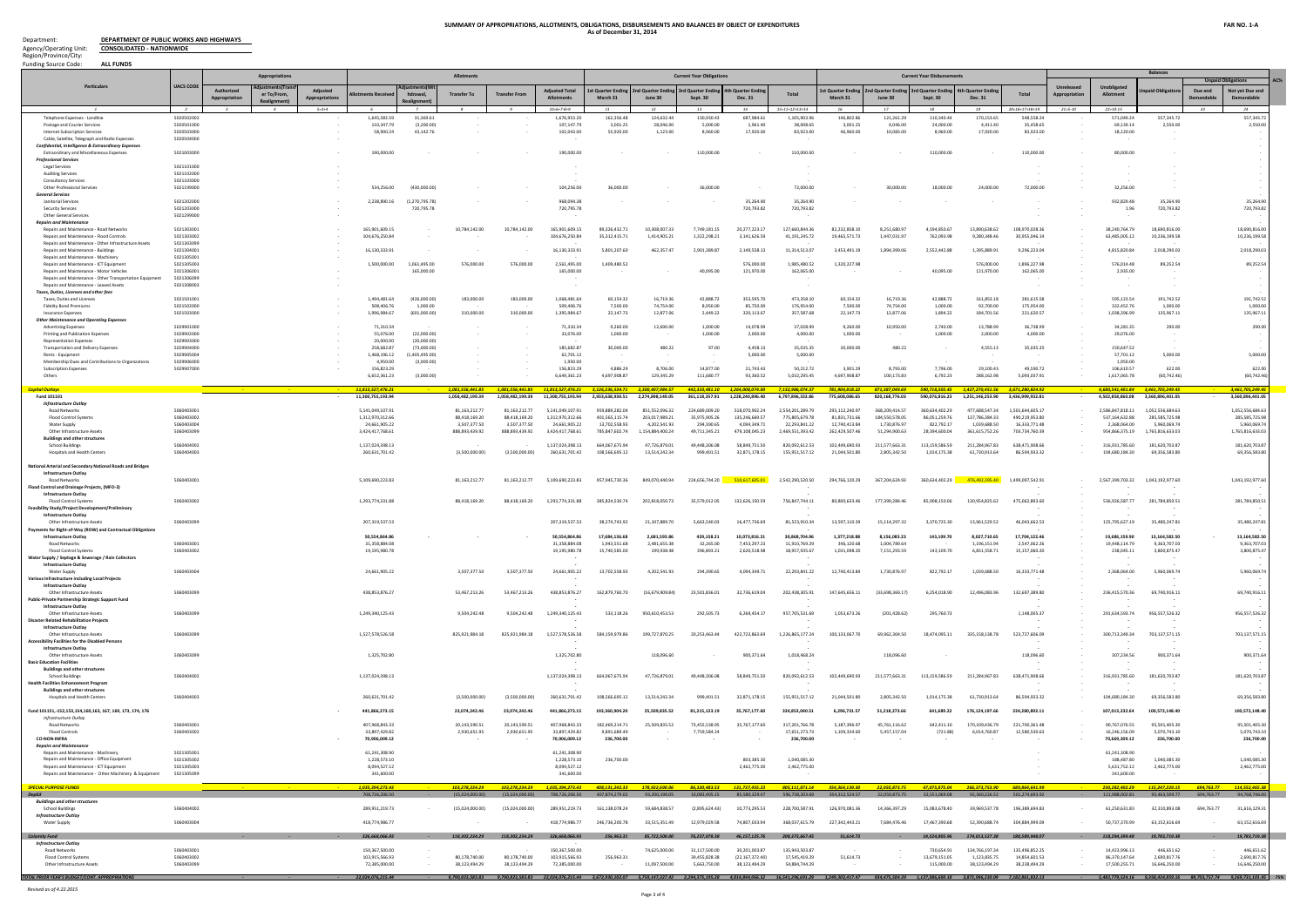**DEPARTMENT OF PUBLIC WORKS AND HIGHWAYS CONSOLIDATED - NATIONWIDE** Department: Agency/Operating Unit: Region/Province/City:

### **SUMMARY OF APPROPRIATIONS, ALLOTMENTS, OBLIGATIONS, DISBURSEMENTS AND BALANCES BY OBJECT OF EXPENDITURES As of December 31, 2014**

| <b>ALL FUNDS</b><br><b>Funding Source Code:</b>                                                       |                          |                   | Appropriation              |                               |                                    |                               | <b>Allotments</b>              |                                |                                                                                                                                                                                                                                                                                                                     |                                  |                                | <b>Current Year Obligations</b> |                                    |                                  |                                 |                                | <b>Current Year Disbursements</b>      |                                |                                 |                                   |                                  | <b>Balances</b>                                                      |            |                                |
|-------------------------------------------------------------------------------------------------------|--------------------------|-------------------|----------------------------|-------------------------------|------------------------------------|-------------------------------|--------------------------------|--------------------------------|---------------------------------------------------------------------------------------------------------------------------------------------------------------------------------------------------------------------------------------------------------------------------------------------------------------------|----------------------------------|--------------------------------|---------------------------------|------------------------------------|----------------------------------|---------------------------------|--------------------------------|----------------------------------------|--------------------------------|---------------------------------|-----------------------------------|----------------------------------|----------------------------------------------------------------------|------------|--------------------------------|
| Particulars                                                                                           | <b>UACS CODE</b>         | <b>\uthorized</b> |                            |                               |                                    |                               |                                |                                | <b>Adjusted Total</b>                                                                                                                                                                                                                                                                                               | t Quarter Endir                  | nd Quarter Endi                | <b>rd Quarter Endi</b>          | h Quarter Endin                    |                                  | t Quarter Endin                 | <b>2nd Quarter Ending</b>      | <b><i><u>Srd Quarter Endir</u></i></b> | h Quarter Endi                 |                                 | Unreleased                        | <b>Unobligated</b>               | npaid Obligati                                                       | Due and    | AC.<br><b>Not yet Due and</b>  |
|                                                                                                       |                          | Appropriation     | er To/From.<br>Realignment | Appropriations<br>$5 = 3 + 4$ | nents Recei                        | hdrawal.                      | <b>Transfer To</b>             | <b>Transfer From</b>           | Alloti<br>$10=6+7-8+9$                                                                                                                                                                                                                                                                                              | March 31                         | June 30                        | Sept. 30                        | <b>Dec. 31</b>                     | Total<br>$5 = 11 + 12 + 13 + 14$ | March 31                        | June 30                        | Sept. 30                               | <b>Dec. 31</b>                 | Total<br>$0=16+17+18+19$        | ropriatio<br>App<br>$21 = 5 - 10$ | Allotment<br>$22 = 10 - 15$      |                                                                      | Demanda    | Demandable                     |
| Telephone Expenses - Landline                                                                         | 5020502002               |                   |                            |                               | 1,645,583.59                       | 31,369.61                     |                                |                                | 1,676,953.20                                                                                                                                                                                                                                                                                                        | 162,356.48                       | 124,632.44                     | 130,930.43                      | 687.984.61                         | 1,105,903.96                     | 146,802.8                       | 121,261.29                     | 110,340.44                             | 170,153.65                     | 548,558.24                      |                                   | 571,049.24                       | 557,345.72                                                           |            | 557,345.7                      |
| Postage and Courier Services<br>Internet Subscription Services                                        | 5020501000<br>5020503000 |                   |                            |                               | 110.347.79<br>58,900.24            | (3,200.00)<br>43,142.76       |                                |                                | 107,147.79<br>102,043.00                                                                                                                                                                                                                                                                                            | 3,001.25<br>55.920.00            | 28,046.00<br>1,123.00          | 5,000.00<br>8,960.00            | 1.961.40<br>17,920.00              | 38,008.65<br>83,923.00           | 3,001.2<br>46.960.0             | 4.046.00<br>10.083.00          | 24,000.00<br>8,960.00                  | 4.411.40<br>17,920.00          | 35,458.65<br>83,923.00          |                                   | 69,139.14<br>18,120.00           | 2,550.00                                                             |            | 2,550.0                        |
| Cable, Satellite, Telegraph and Radio Expenses<br>Confidential, Intelligence & Extraordinary Expenses | 5020504000               |                   |                            |                               |                                    |                               |                                |                                |                                                                                                                                                                                                                                                                                                                     |                                  |                                |                                 |                                    |                                  |                                 |                                |                                        |                                |                                 |                                   |                                  |                                                                      |            |                                |
| <b>Extraordinary and Miscellaneous Expenses</b><br><b>Professional Services</b>                       | 5021003000               |                   |                            |                               | 190,000,00                         |                               |                                |                                | 190,000.00                                                                                                                                                                                                                                                                                                          |                                  |                                | 110,000.00                      |                                    | 110,000.00                       |                                 |                                | 110,000.00                             |                                | 110,000.00                      |                                   | 80,000,00                        |                                                                      |            |                                |
| <b>Legal Services</b>                                                                                 | 5021101000<br>5021102000 |                   |                            |                               |                                    |                               |                                |                                |                                                                                                                                                                                                                                                                                                                     |                                  |                                |                                 |                                    |                                  |                                 |                                |                                        |                                |                                 |                                   |                                  |                                                                      |            |                                |
| <b>Auditing Services</b><br><b>Consultancy Services</b>                                               | 5021103000               |                   |                            |                               |                                    |                               |                                |                                |                                                                                                                                                                                                                                                                                                                     |                                  |                                |                                 |                                    |                                  |                                 |                                |                                        |                                |                                 |                                   |                                  |                                                                      |            |                                |
| <b>Other Professional Services</b><br><b>General Services</b>                                         | 5021199000               |                   |                            |                               | 534,256.00                         | (430,000,00)                  |                                |                                | 104,256.00                                                                                                                                                                                                                                                                                                          | 36,000,00                        |                                | 36,000.00                       |                                    | 72,000.00                        |                                 | 30,000,00                      | 18,000.00                              | 24,000,00                      | 72,000.00                       |                                   | 32,256.00                        |                                                                      |            |                                |
| Janitorial Services<br>Security Services                                                              | 5021202000<br>5021203000 |                   |                            |                               | 2,238,890.16                       | (1.270.795.78)<br>720,795.78  |                                |                                | 968,094.38<br>720,795.78                                                                                                                                                                                                                                                                                            |                                  |                                |                                 | 35,264.90<br>720,793.82            | 35,264.90<br>720,793.82          |                                 |                                |                                        |                                |                                 |                                   | 932,829.48<br>1.96               | 35,264.90<br>720,793.82                                              |            | 35,264.9<br>720,793.82         |
| <b>Other General Services</b><br><b>Repairs and Mainte</b>                                            | 5021299000               |                   |                            |                               |                                    |                               |                                |                                |                                                                                                                                                                                                                                                                                                                     |                                  |                                |                                 |                                    |                                  |                                 |                                |                                        |                                |                                 |                                   |                                  |                                                                      |            |                                |
| Repairs and Maintenance - Road Networks                                                               | 5021303001               |                   |                            |                               | 165.901.609.15                     |                               | 10.784.142.00                  | 10.784.142.00                  | 165,901,609.15                                                                                                                                                                                                                                                                                                      | 89.326.432.71                    | 10.308.007.33                  | 7.749.181.15                    | 20.277.223.17                      | 127.660.844.36                   | 82.232.858.10                   | 8.251.680.97                   | 4.594.850.67                           | 13.890.638.62                  | 108.970.028.36                  |                                   | 38.240.764.79                    | 18,690,816,00                                                        |            | 18,690,816.0                   |
| Repairs and Maintenance - Flood Control<br>Repairs and Maintenance - Other Infrastructure Assets      | 5021303002<br>5021303099 |                   |                            |                               | 104.676.250.84                     |                               |                                |                                | 104,676,250.84                                                                                                                                                                                                                                                                                                      | 35.312.415.7                     | 1.414.905.23                   | 1,322,298.21                    | 3.141.626.59                       | 41,191,245.72                    | 19.465.571.                     | 1,447,031.97                   | 762.093.98                             | 9.280.348.4                    | 30,955,046.14                   |                                   | 63.485.005.12                    | 10,236,199.58                                                        |            | 10,236,199.5                   |
| Repairs and Maintenance - Buildings<br>Repairs and Maintenance - Machinery                            | 5021304001<br>5021305001 |                   |                            |                               | 16,130,333.91                      |                               |                                |                                | 16,130,333.91                                                                                                                                                                                                                                                                                                       | 5,801,207.60                     | 462,357.47                     | 2,901,389.87                    | 2,149,558.13                       | 11,314,513.07                    | 3,453,491.1                     | 1,894,399.06                   | 2,552,442.88                           | 1,395,889.91                   | 9,296,223.04                    |                                   | 4,815,820.84                     | 2,018,290.03                                                         |            | 2,018,290.0                    |
| Repairs and Maintenance - ICT Equipment<br>Repairs and Maintenance - Motor Vehicle                    | 5021305003<br>5021306001 |                   |                            |                               | 1.500.000.00                       | 1.061.495.00                  | 576,000.00                     | 576,000.00                     | 2,561,495.00<br>165,000.00                                                                                                                                                                                                                                                                                          | 1.409.480.52                     |                                | 40.095.00                       | 576,000.00<br>121,970.00           | 1,985,480.52                     | 1.320.227.9                     |                                | 40.095.00                              | 576,000.00                     | 1,896,227.98                    |                                   | 576.014.48                       | 89,252.54                                                            |            | 89,252.54                      |
| Repairs and Maintenance - Other Transportation Equipment                                              | 5021306099               |                   |                            |                               |                                    | 165,000.00                    |                                |                                |                                                                                                                                                                                                                                                                                                                     |                                  |                                |                                 |                                    | 162,065.00                       |                                 |                                |                                        | 121,970.00                     | 162,065.00                      |                                   | 2,935.00                         |                                                                      |            |                                |
| Repairs and Maintenance - Leased Assets<br><b>Taxes, Duties, Licenses and other fees</b>              | 5021308003               |                   |                            |                               |                                    |                               |                                |                                |                                                                                                                                                                                                                                                                                                                     |                                  |                                |                                 |                                    |                                  |                                 |                                |                                        |                                |                                 |                                   |                                  |                                                                      |            |                                |
| Taxes, Duties and Licenses<br><b>Fidelity Bond Premiums</b>                                           | 5021501001<br>5021502000 |                   |                            |                               | 1.494.481.64<br>508,406.76         | (426.000.00)<br>1,000.00      | 183,000.00                     | 183,000,00                     | 1.068.481.64<br>509,406.76                                                                                                                                                                                                                                                                                          | 60.154.32<br>7,500.00            | 16.719.36<br>74,754.00         | 42.888.72<br>8,950.00           | 353,595.70<br>85,750.00            | 473.358.10<br>176,954.00         | 60,154.3<br>7,500.00            | 16.719.36<br>74,754.00         | 42.888.72<br>1,000.00                  | 161.853.18<br>92,700.00        | 281.615.58<br>175,954.00        |                                   | 595,123.54<br>332,452.76         | 191,742.52<br>1,000.00                                               |            | 191,742.5<br>1,000.0           |
| Insurance Expenses                                                                                    | 5021503000               |                   |                            |                               | 1,996,984.67                       | (601,000.00)                  | 310,000.00                     | 310,000.00                     | 1,395,984.67                                                                                                                                                                                                                                                                                                        | 22,147.73                        | 12,877.06                      | 2,449.22                        | 320,113.67                         | 357,587.68                       | 22,147.73                       | 12,877.06                      | 1,894.22                               | 184,701.56                     | 221,620.57                      |                                   | 1,038,396.99                     | 135,967.11                                                           |            | 135,967.1                      |
| <b>Other Maintenance and Operating Expenses</b><br><b>Advertising Expenses</b>                        | 5029901000               |                   |                            |                               | 71.310.34                          |                               |                                |                                | 71,310.34                                                                                                                                                                                                                                                                                                           | 9,260.00                         | 12,690.00                      | 1,000.00                        | 14,078.99                          | 37,028.99                        | 9.260.00                        | 10.950.00                      | 2,740.00                               | 13,788.99                      | 36,738.99                       |                                   | 34.281.35                        | 290.00                                                               |            | 290.00                         |
| Printing and Publication Expense<br><b>Representation Expense</b>                                     | 5029902000<br>5029903000 |                   |                            |                               | 55,076,00<br>20,000.00             | (22.000.00)<br>(20.000.00)    |                                |                                | 33,076.00                                                                                                                                                                                                                                                                                                           | 1.000.00                         |                                | 1.000.00                        | 2,000.00                           | 4,000.00                         | 1,000.00                        |                                | 1,000.00                               | 2.000.00                       | 4,000.00                        |                                   | 29,076.00                        |                                                                      |            |                                |
| <b>Transportation and Delivery Expenses</b><br>Rents - Equipment                                      | 5029904000<br>5029905004 |                   |                            |                               | 258,682.87<br>1.468.196.12         | (73,000.00)<br>(1.405.495.00) |                                |                                | 185,682.87<br>62.701.12                                                                                                                                                                                                                                                                                             | 30,000.00                        | 480.22                         | 97.00                           | 4,458.13<br>5,000.00               | 35,035.35<br>5,000.00            | 30,000.00                       | 480.22                         |                                        | 4,555.13                       | 35,035.35                       |                                   | 150,647.52<br>57,701.12          | 5,000.00                                                             |            | 5,000.00                       |
| Membership Dues and Contributions to Organizations                                                    | 5029906000               |                   |                            |                               | 4.950.00                           | (3.000.00)                    |                                |                                | 1.950.00                                                                                                                                                                                                                                                                                                            |                                  |                                |                                 |                                    |                                  |                                 |                                |                                        |                                |                                 |                                   | 1.950.00                         |                                                                      |            |                                |
| <b>Subscription Expenses</b><br>Others                                                                | 5029907000               |                   |                            |                               | 156,823.29<br>6,652,361.23         | (3,000.00)                    |                                |                                | 156,823.29<br>6,649,361.23                                                                                                                                                                                                                                                                                          | 4,886.29<br>4,697,908.87         | 8,706.00<br>129,345.29         | 14,877.00<br>111,680.77         | 21,743.43<br>93,360.52             | 50,212.72<br>5,032,295.45        | 3,901.29<br>4,697,908.87        | 8,793.00<br>100,173.83         | 7,796.00<br>6,792.23                   | 29,100.43<br>288,162.98        | 49,590.72<br>5,093,037.91       |                                   | 106,610.57<br>1,617,065.78       | 622.00<br>(60, 742.46)                                               |            | 622.00<br>(60, 742.46)         |
| <b>Capital Outlays</b>                                                                                |                          |                   |                            |                               | 11.813.527.476.21                  |                               | 1.081.556.441.8                |                                | 1.081.556.441.85 11.813.527.476.21                                                                                                                                                                                                                                                                                  | 3.126.236.534.71                 | 2.300.407.984.57               |                                 | 442.333.481.10  1.264.008.074.00   | 7,132,986,074.37                 | 781.904.818.22                  | 871.387.049.69                 | 590.718.505.45                         | 1.427.270.451.56               | 3.671.280.824.92                |                                   |                                  | 4.680.541.401.84 3.461.705.249.45                                    |            | 3.461.705.249.                 |
| Fund 101101<br><b>Infrastructure Outlay</b>                                                           |                          |                   |                            |                               | 11,300,755,193.94                  |                               | 1,058,482,199.39               | 1,058,482,199.39               | 11,300,755,193.94                                                                                                                                                                                                                                                                                                   | 2,933,638,930.51                 | 2,274,898,149.05               | 361,118,357.91                  | 1,228,240,896.40                   | 6,797,896,333.86                 | 775,608,086.65                  | 820,168,776.03                 | 590,076,816.23                         | 1,251,146,253.90               | 3,436,999,932.81                |                                   | 4,502,858,860.08                 | 3,360,896,401.05                                                     |            | 3,360,896,401.0                |
| Road Networks                                                                                         | 5060403001               |                   |                            |                               | 5,141,049,107.91                   |                               | 81.163.212.77                  | 81.163.212.77                  | 5.141.049.107.91                                                                                                                                                                                                                                                                                                    | 959.889.282.04                   | 851.552.096.32                 | 224.689.009.20                  | 518.070.902.24                     | 2.554.201.289.79                 | 295.112.240.97                  | 368.209.414.57                 | 360.634.402.29                         | 477.688.547.34                 | 1.501.644.605.17                |                                   | 2.586.847.818.11                 | 1.052.556.684.63                                                     |            | 1.052.556.684.6                |
| <b>Flood Control Systems</b><br>Water Supply                                                          | 5060403002<br>5060403004 |                   |                            |                               | 1,312,970,312.66<br>24,661,905.22  |                               | 88,418,169.20<br>3,507,377.50  | 88,418,169.2<br>3,507,377.50   | 1,312,970,312.66<br>24,661,905.22                                                                                                                                                                                                                                                                                   | 401,565,115.74<br>13,702,558.93  | 203,017,989.21<br>4,202,541.93 | 35,975,905.26<br>294,390.65     | 135.246.669.57<br>4,094,349.71     | 775.805.679.78<br>22,293,841.22  | 81,831,731.6<br>12,740,413.84   | 184,550,578.05<br>1,730,876.97 | 86,051,259.7<br>822,792.17             | 137.786.384.3<br>1,039,688.50  | 490,219,953.80<br>16,333,771.48 |                                   | 537,164,632.88<br>2,368,064.00   | 285,585,725.98<br>5,960,069.74                                       |            | 285,585,725.9<br>5,960,069.7   |
| Other Infrastructure Assets<br>Buildings and other structure:                                         | 5060403099               |                   |                            |                               | 3,424,417,768.61                   |                               | 888,893,439.92                 | 888,893,439.92                 | 3,424,417,768.61                                                                                                                                                                                                                                                                                                    | 785,847,602.74                   | 1,154,884,400.24               | 49,711,345.21                   | 479,108,045.23                     | 2,469,551,393.42                 | 262,429,507.46                  | 51,294,900.63                  | 28,394,600.04                          | 361,615,752.26                 | 703,734,760.39                  |                                   | 954,866,375.19                   | 1,765,816,633.03                                                     |            | 1,765,816,633.03               |
| <b>School Buildings</b><br><b>Hospitals and Health Centers</b>                                        | 5060404002<br>5060404003 |                   |                            |                               | 1.137.024.398.13<br>260,631,701.42 |                               | (3,500,000.00)                 | (3,500,000.00)                 | 1.137.024.398.1<br>260,631,701.42                                                                                                                                                                                                                                                                                   | 664.067.675.94<br>108,566,695.12 | 47.726.879.03<br>13,514,242.34 | 49,448,306.08<br>999,401.51     | 58.849.751.50<br>32,871,178.15     | 820.092.612.53<br>155,951,517.12 | 102.449.690.93<br>21,044,501.80 | 211.577.663.31<br>2,805,342.50 | 113.159.586.59<br>1,014,175.38         | 211.284.967.83<br>61,730,913.6 | 638.471.908.66<br>86,594,933.32 |                                   | 316.931.785.60<br>104,680,184.30 | 181.620.703.87<br>69,356,583.80                                      |            | 181,620,703.87<br>69,356,583.8 |
|                                                                                                       |                          |                   |                            |                               |                                    |                               |                                |                                |                                                                                                                                                                                                                                                                                                                     |                                  |                                |                                 |                                    |                                  |                                 |                                |                                        |                                |                                 |                                   |                                  |                                                                      |            |                                |
| National Arterial and Secondary National Roads and Bridges<br>Infrastructure Outlay                   |                          |                   |                            |                               |                                    |                               |                                |                                |                                                                                                                                                                                                                                                                                                                     |                                  |                                |                                 |                                    |                                  |                                 |                                |                                        |                                |                                 |                                   |                                  |                                                                      |            |                                |
| Road Networks<br>Flood Control and Drainage Projects, (MFO-3)                                         | 5060403001               |                   |                            |                               | 5,109,690,223.83                   |                               | 81, 163, 212. 77               | 81,163,212.77                  | 5,109,690,223.83                                                                                                                                                                                                                                                                                                    | 957.945.730.36                   | 849,070,440.94                 | 224,656,744.20                  | 510.617.605.01                     | 2,542,290,520.50                 | 294,766,120.29                  | 367.204.624.93                 | 360.634.402.29                         | 476.492.395.40                 | 1,499,097,542.91                |                                   | 2,567,399,703.32                 | 1,043,192,977.60                                                     |            | 1,043,192,977.6                |
| <b>Infrastructure Outlay</b><br><b>Flood Control Systems</b>                                          | 5060403002               |                   |                            |                               | 1,293,774,331.88                   |                               | 88.418.169.20                  | 88.418.169.20                  | 1.293.774.331.88                                                                                                                                                                                                                                                                                                    | 385.824.530.74                   | 202.818.050.73                 | 35.579.012.05                   | 132.626.150.59                     | 756,847,744.11                   | 80.800.633.46                   | 177.399.284.46                 | 85.908.150.06                          | 130.954.825.62                 | 475,062,893.60                  |                                   | 536.926.587.77                   | 281,784,850.51                                                       |            | 281,784,850.5                  |
| Feasibility Study/Project Development/Preliminary                                                     |                          |                   |                            |                               |                                    |                               |                                |                                |                                                                                                                                                                                                                                                                                                                     |                                  |                                |                                 |                                    |                                  |                                 |                                |                                        |                                |                                 |                                   |                                  |                                                                      |            |                                |
| <b>Infrastructure Outlay</b><br>Other Infrastructure Assets                                           | 5060403099               |                   |                            |                               | 207,319,537.53                     |                               |                                |                                | 207.319.537.53                                                                                                                                                                                                                                                                                                      | 38.274.743.92                    | 21.107.889.70                  | 5.663.540.03                    | 16.477.736.69                      | 81,523,910.34                    | 13.597.110.39                   | 15.114.297.32                  | 3.370.725.30                           | 13.961.529.52                  | 46,043,662.53                   |                                   | 125.795.627.19                   | 35.480.247.81                                                        |            | 35,480,247.8                   |
| Payments for Right-of-Way (ROW) and Contractual Obligation<br><b>Infrastructure Outlay</b>            |                          |                   |                            |                               | 50,554,864.86                      |                               |                                |                                | 50,554,864.86                                                                                                                                                                                                                                                                                                       | 17,684,136.68                    | 2,681,593.86                   | 429,158.21                      | 10,073,816.21                      | 30,868,704.96                    | 1,377,218.88                    | 8,156,083.23                   | 143,109.70                             | 8,027,710.65                   | 17,704,122.46                   |                                   | 19,686,159.90                    | 13,164,582.50                                                        |            | 13,164,582.50                  |
| Road Networks<br><b>Flood Control Systems</b>                                                         | 5060403001<br>5060403002 |                   |                            |                               | 31,358,884.08<br>19.195.980.78     |                               |                                |                                | 31,358,884.08<br>19.195.980.78                                                                                                                                                                                                                                                                                      | 1,943,551.68                     | 2,481,655.38<br>199.938.       | 32,265.00<br>396.893.21         | 7,453,297.23<br>2.620.518.98       | 11,910,769.29<br>18.957.935.67   | 346,120.68<br>1.031.098.2       | 1,004,789.64<br>7.151.293.59   | 143.109.70                             | 1,196,151.94                   | 2,547,062.26<br>15.157.060.2    |                                   | 19,448,114.79                    | 9.363.707.03<br>3.800.875.4                                          |            | 9,363,707.03<br>3,800,875.47   |
| Water Supply / Septage & Sewerage / Rain Collectors                                                   |                          |                   |                            |                               |                                    |                               |                                |                                |                                                                                                                                                                                                                                                                                                                     |                                  |                                |                                 |                                    |                                  |                                 |                                |                                        |                                |                                 |                                   |                                  |                                                                      |            |                                |
| <b>Infrastructure Outlay</b><br>Water Supply                                                          | 5060403004               |                   |                            |                               | 24,661,905.22                      |                               | 3,507,377.50                   | 3,507,377.50                   | 24,661,905.22                                                                                                                                                                                                                                                                                                       | 13,702,558.93                    | 4,202,541.93                   | 294,390.65                      | 4,094,349.71                       | 22,293,841.22                    | 12,740,413.84                   | 1,730,876.97                   | 822,792.17                             | 1.039.688.50                   | 16,333,771.48                   |                                   | 2,368,064.00                     | 5,960,069.74                                                         |            | 5,960,069.7                    |
| Various Infrastructure including Local Projects<br><b>Infrastructure Outlav</b>                       |                          |                   |                            |                               |                                    |                               |                                |                                |                                                                                                                                                                                                                                                                                                                     |                                  |                                |                                 |                                    |                                  |                                 |                                |                                        |                                |                                 |                                   |                                  |                                                                      |            |                                |
| Other Infrastructure Assets                                                                           | 5060403099               |                   |                            |                               | 438,853,876.27                     |                               | 53,467,213.26                  | 53.467.213.26                  | 438,853,876.27                                                                                                                                                                                                                                                                                                      | 162.879.760.70                   | (16.679.909.84)                | 23.501.836.01                   | 32.736.619.04                      | 202.438.305.91                   | 147.645.656.11                  | (33.698.369.17)                | 6.254.018.90                           | 12.496.083.96                  | 132,697,389.80                  |                                   | 236,415,570.36                   | 69,740,916.11                                                        |            | 69,740,916.11                  |
| Public-Private Partnership Strategic Support Fund<br><b>Infrastructure Outlay</b>                     |                          |                   |                            |                               |                                    |                               |                                |                                |                                                                                                                                                                                                                                                                                                                     |                                  |                                |                                 |                                    |                                  |                                 |                                |                                        |                                |                                 |                                   |                                  |                                                                      |            |                                |
| Other Infrastructure Assets<br><b>Disaster Related Rehabilitation Projects</b>                        | 5060403099               |                   |                            |                               | 1,249,340,125.43                   |                               | 9,504,242.48                   | 9,504,242.48                   | 1,249,340,125.43                                                                                                                                                                                                                                                                                                    | 533.118.26                       | 950,610,453.53                 | 292,505.73                      | 6,269,454.17                       | 957,705,531.69                   | 1.053.673.2                     | (201, 428.62)                  | 295,760.73                             |                                | 1,148,005.37                    |                                   | 291.634.593.74                   | 956,557,526.32                                                       |            | 956,557,526.32                 |
| <b>Infrastructure Outlay</b><br>Other Infrastructure Assets                                           | 5060403099               |                   |                            |                               | 1,527,578,526.58                   |                               | 825,921,984.18                 | 825.921.984.18                 | 1,527,578,526.58                                                                                                                                                                                                                                                                                                    | 584.159.979.86                   | 199,727,870.25                 | 20.253.463.44                   | 422,723,863.69                     | 1,226,865,177.24                 | 100,133,067.70                  | 69,962,304.50                  | 18,474,095.11                          | 335.158.138.78                 | 523,727,606.09                  |                                   | 300.713.349.34                   | 703,137,571.15                                                       |            | 703,137,571.1                  |
| <b>Accessibility Facilities for the Disabled Persons</b><br><b>Infrastructure Outlay</b>              |                          |                   |                            |                               |                                    |                               |                                |                                |                                                                                                                                                                                                                                                                                                                     |                                  |                                |                                 |                                    |                                  |                                 |                                |                                        |                                |                                 |                                   |                                  |                                                                      |            |                                |
| Other Infrastructure Assets                                                                           | 5060403099               |                   |                            |                               | 1,325,702.80                       |                               |                                |                                | 1,325,702.80                                                                                                                                                                                                                                                                                                        |                                  | 118,096.60                     |                                 | 900,371.64                         | 1,018,468.24                     |                                 | 118,096.60                     |                                        |                                | 118,096.60                      |                                   | 307,234.56                       | 900,371.64                                                           |            | 900,371.6                      |
| <b>Basic Education Facilities</b><br><b>Buildings and other structures</b>                            |                          |                   |                            |                               |                                    |                               |                                |                                |                                                                                                                                                                                                                                                                                                                     |                                  |                                |                                 |                                    |                                  |                                 |                                |                                        |                                |                                 |                                   |                                  |                                                                      |            |                                |
| <b>School Buildings</b><br><b>Health Facilities Enhancement Program</b>                               | 5060404002               |                   |                            |                               | 1,137,024,398.13                   |                               |                                |                                | 1,137,024,398.13                                                                                                                                                                                                                                                                                                    | 664.067.675.94                   | 47,726,879.01                  | 49,448,306.08                   | 58,849,751.50                      | 820,092,612.53                   | 102.449.690.93                  | 211,577,663.31                 | 113.159.586.59                         | 211,284,967.83                 | 638,471,908.66                  |                                   | 316,931,785.60                   | 181,620,703.87                                                       |            | 181,620,703.87                 |
| <b>Buildings and other structures</b>                                                                 | 5060404003               |                   |                            |                               | 260,631,701.42                     |                               | (3,500,000.00)                 | (3.500.000.00)                 | 260,631,701.42                                                                                                                                                                                                                                                                                                      | 108.566.695.12                   | 13,514,242.34                  | 999,401.51                      | 32,871,178.15                      | 155,951,517.12                   | 21.044.501.80                   | 2,805,342.50                   | 1.014.175.38                           | 61.730.913.64                  | 86,594,933.32                   |                                   | 104.680.184.30                   | 69,356,583.80                                                        |            | 69,356,583.80                  |
| <b>Hospitals and Health Centers</b>                                                                   |                          |                   |                            |                               |                                    |                               |                                |                                |                                                                                                                                                                                                                                                                                                                     |                                  |                                |                                 |                                    |                                  |                                 |                                |                                        |                                |                                 |                                   |                                  |                                                                      |            |                                |
| Fund 101151,-152,153,154,160,163, 167, 169, 173, 174, 176<br>Infrastructure Outlay                    |                          |                   |                            |                               | 441,866,273.15                     |                               | 23,074,242.46                  | 23,074,242.4                   | 441,866,273.15                                                                                                                                                                                                                                                                                                      | 192,360,904.20                   | 25,509,835.52                  | 81,215,123.19                   | 35,767,177.60                      | 334,853,040.51                   | 6,296,731.57                    | 51,218,273.66                  | 641,689.22                             | 176,124,197.66                 | 234,280,892.11                  |                                   | 107,013,232.64                   | 100,572,148.40                                                       |            | 100,572,148.40                 |
| <b>Road Networks</b><br><b>Flood Controls</b>                                                         | 5060403001<br>5060403002 |                   |                            |                               | 407,968,843.33<br>33,897,429.82    |                               | 20,143,590.51<br>2,930,651.95  | 20,143,590.51<br>2,930,651.95  | 407.968.843.33<br>33.897.429.82                                                                                                                                                                                                                                                                                     | 182.469.214.71<br>9,891,689.49   | 25,509,835.52                  | 73,455,538.95<br>7,759,584.24   | 35,767,177.60                      | 317,201,766.78<br>17,651,273.73  | 5.187.396.97<br>1,109,334.60    | 45,761,116.62<br>5,457,157.04  | 642,411.10<br>(721.88)                 | 170.109.436.79<br>6.014.760.87 | 221,700,361.48<br>12,580,530.63 |                                   | 90.767.076.55<br>16.246.156.09   | 95,501,405.30<br>5,070,743.10                                        |            | 95,501,405.30<br>5,070,743.1   |
| <b>CO-NON-INFRA</b>                                                                                   |                          |                   |                            |                               | 70,906,009.12                      |                               |                                |                                | 70,906,009.12                                                                                                                                                                                                                                                                                                       | 236,700.00                       |                                |                                 |                                    | 236,700.00                       |                                 |                                |                                        |                                |                                 |                                   | 70,669,309.12                    | 236,700.00                                                           |            | 236,700.00                     |
| <b>Repairs and Maintenance</b><br>Repairs and Maintenance - Machinery                                 | 5021305001               |                   |                            |                               | 61,241,308.90                      |                               |                                |                                | 61,241,308.90                                                                                                                                                                                                                                                                                                       |                                  |                                |                                 |                                    |                                  |                                 |                                |                                        |                                |                                 |                                   | 61.241.308.90                    |                                                                      |            |                                |
| Repairs and Maintenance - Office Equipment<br>Repairs and Maintenance - ICT Equipment                 | 5021305002<br>5021305003 |                   |                            |                               | 1,228,573.10<br>8,094,527.12       |                               |                                |                                | 1,228,573.10<br>8,094,527.12                                                                                                                                                                                                                                                                                        | 236,700.00                       |                                |                                 | 803,385.30<br>2,462,775.00         | 1,040,085.30<br>2,462,775.00     |                                 |                                |                                        |                                |                                 |                                   | 188,487,80<br>5,631,752.12       | 1.040.085.30<br>2,462,775.00                                         |            | 1,040,085.3<br>2,462,775.00    |
| Repairs and Maintenance - Other Machinery & Equipment                                                 | 5021305099               |                   |                            |                               | 341,600.00                         |                               |                                |                                | 341,600.00                                                                                                                                                                                                                                                                                                          |                                  |                                |                                 |                                    |                                  |                                 |                                |                                        |                                |                                 |                                   | 341,600.00                       |                                                                      |            |                                |
| <b>SPECIAL PURPOSE FUNDS</b>                                                                          |                          |                   |                            |                               | 1,035,394,273.43                   |                               | 103,278,234.29                 | 103.278.234.29                 | 1,035,394,273.43                                                                                                                                                                                                                                                                                                    | 408,131,242.33                   | 178,922,690.06                 | 86,320,483.53                   | 131.737.455.23                     | 805.111.871.14                   | 354.364.139.30                  | 22,050,873.75                  | 47.075.875.04                          | 266.373.753.90                 | 689,864,641.99                  |                                   | 230,282,402.29                   | 115,247,229.15                                                       | 694,763.77 | 114,552,465.3                  |
| <b>DepEd</b><br><b>Buildings and other structures</b>                                                 |                          |                   |                            |                               | 708.726.206.50                     |                               | (15.024.000.00)                | (15.024.000.00)                | 708.726.206.50                                                                                                                                                                                                                                                                                                      | 407.874.279.02                   | 93.200.190.05                  | 10,083,405.15                   | 85.580.329.47                      | 596.738.203.69                   | 354.312.524.57                  | 22.050.873.75                  | 32.551.069.08                          | 92.360.226.52                  | 501,274,693.92                  |                                   | 111.988.002.81                   | 95.463.509.77                                                        | 694.763.77 | 94,768,746.0                   |
| <b>School Buildings</b><br><b>Infrastructure Outlay</b>                                               | 5060404002               |                   |                            |                               | 289,951,219.73                     |                               | (15,024,000.00)                | (15,024,000.00)                | 289,951,219.73                                                                                                                                                                                                                                                                                                      | 161.138.078.24                   | 59,684,838.57                  | (2,895,624.43)                  | 10,773,295.53                      | 228,700,587.91                   | 126,970,081.36                  | 14,366,397.29                  | 15,083,678.40                          | 39.969.537.78                  | 196,389,694.83                  |                                   | 61,250,631.83                    | 32,310,893.08                                                        | 694,763.77 | 31,616,129.3                   |
| <b>Water Supply</b>                                                                                   | 5060403004               |                   |                            |                               | 418,774,986.77                     |                               |                                |                                | 418.774.986.77                                                                                                                                                                                                                                                                                                      | 246.736.200.78                   | 33,515,351.49                  | 12.979.029.58                   | 74.807.033.94                      | 368.037.615.79                   | 227.342.443.21                  | 7.684.476.46                   | 17.467.390.68                          | 52.390.688.74                  | 304.884.999.09                  |                                   | 50.737.370.99                    | 63,152,616.69                                                        |            | 63,152,616.69                  |
| <b>Calamity Fund</b>                                                                                  |                          |                   |                            |                               | 326,668,066.93                     |                               | 118,302,234.29                 | 118.302.234.29                 | 326.668.066.93                                                                                                                                                                                                                                                                                                      | 256,963,31                       | 85.722.500.00                  | 76.237.078.38                   | 46.157.125.76                      | 208.373.667.45                   | 51,614.73                       |                                | 14,524,805,96                          | 174.013.527.38                 | 188,589,948.07                  |                                   | 118,294,399,48                   | 19,783,719.38                                                        |            | 19,783,719.38                  |
| <b>Infrastructure Outlav</b><br>Road Networks                                                         | 5060403001               |                   |                            |                               | 150.367.500.00                     |                               |                                |                                | 150,367,500.00                                                                                                                                                                                                                                                                                                      |                                  | 74,625,000.00                  | 31.117.500.00                   | 30.201.003.87                      | 135.943.503.87                   |                                 |                                | 730,654.91                             | 134.766.197.34                 | 135,496,852.25                  |                                   | 14,423,996.13                    | 446,651.62                                                           |            | 446,651.6                      |
| <b>Flood Control Systems</b><br>Other Infrastructure Assets                                           | 5060403002<br>5060403099 |                   |                            |                               | 103,915,566.93<br>72,385,000.00    |                               | 80,178,740.00<br>38,123,494.29 | 80,178,740.00<br>38.123.494.29 | 103,915,566.93<br>72,385,000.00                                                                                                                                                                                                                                                                                     | 256,963.31                       | 11,097,500.00                  | 39,455,828.38<br>5,663,750.00   | (22, 167, 372.40)<br>38,123,494.29 | 17,545,419.29<br>54,884,744.29   | 51,614.73                       |                                | 13,679,151.05<br>115,000.00            | 1,123,835.75<br>38,123,494.29  | 14,854,601.53<br>38,238,494.29  |                                   | 86,370,147.64<br>17,500,255.71   | 2,690,817.76<br>16,646,250.00                                        |            | 2,690,817.7<br>16,646,250.00   |
| <b>TOTAL PRIOR YEAR'S BUDGET/CONT. APPROPRIATIONS</b>                                                 |                          |                   |                            |                               | 22,024,076,215.44                  |                               |                                |                                | $\textbf{9,790,823,583.83}\qquad \textbf{9,790,823,583.83}\qquad \textbf{22,024,076,215.44}\qquad \textbf{3,672,930,102.07}\qquad \textbf{5,759,147,327.42}\qquad \textbf{2,294,375,195.28}\qquad \textbf{4,814,844,066.52}\qquad \textbf{16,541,296,691.29}\qquad \textbf{1,249,303,417.47}\qquad \textbf{934,475$ |                                  |                                |                                 |                                    |                                  |                                 |                                |                                        |                                |                                 |                                   |                                  | 5,482,779,524.16 9,358,434,859.16 88,703,757.74 9,269,731,101.45 75% |            |                                |

*Revised as of 4.22.2015*